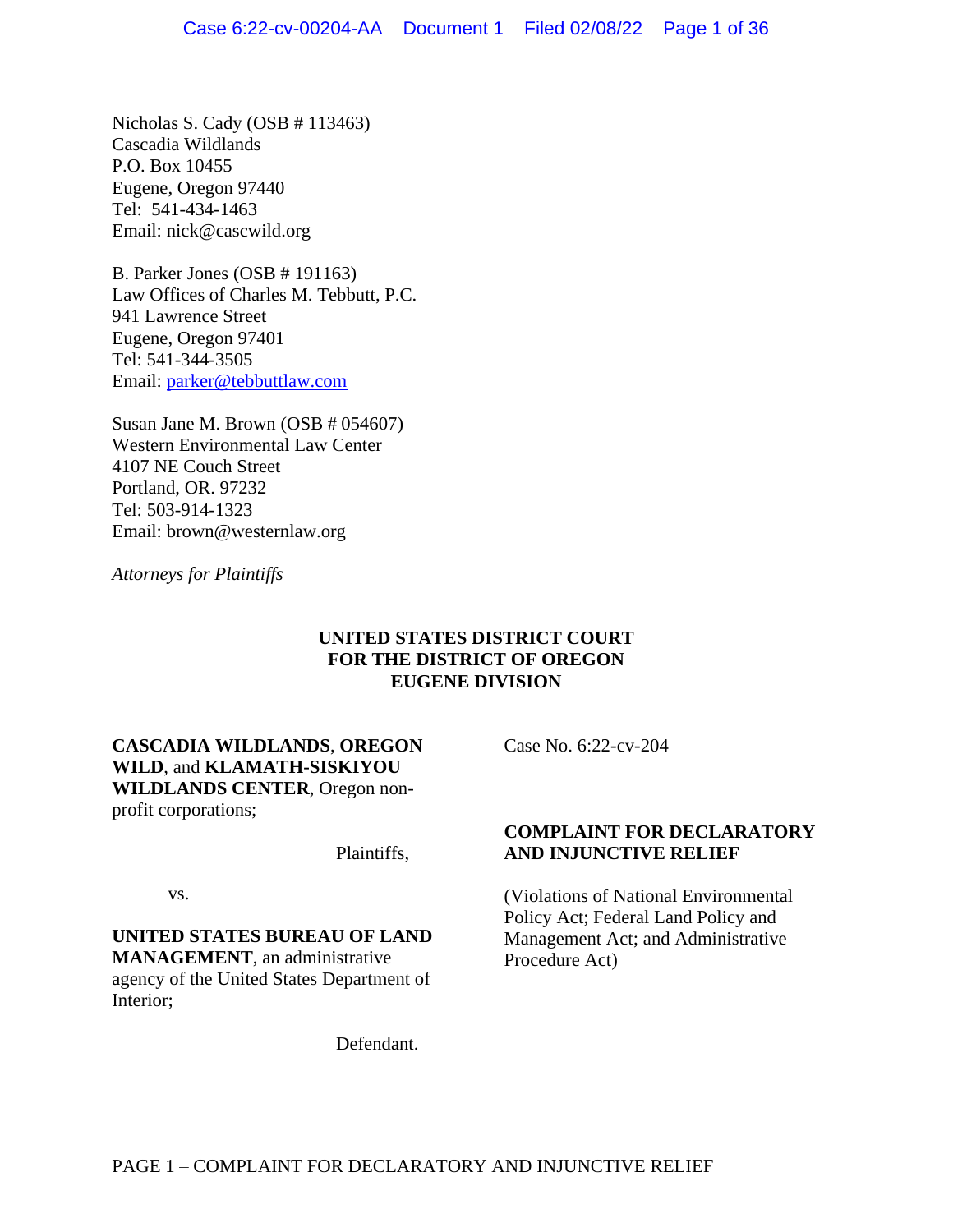Nicholas S. Cady (OSB # 113463) Cascadia Wildlands P.O. Box 10455 Eugene, Oregon 97440 Tel: 541-434-1463 Email: [nick@cascwild.org](mailto:dkruse@cldc.org)

B. Parker Jones (OSB # 191163) Law Offices of Charles M. Tebbutt, P.C. 941 Lawrence Street Eugene, Oregon 97401 Tel: 541-344-3505 Email: [parker@tebbuttlaw.com](mailto:parker@tebbuttlaw.com)

Susan Jane M. Brown (OSB # 054607) Western Environmental Law Center 4107 NE Couch Street Portland, OR. 97232 Tel: 503-914-1323 Email: brown@westernlaw.org

*Attorneys for Plaintiffs*

## **UNITED STATES DISTRICT COURT FOR THE DISTRICT OF OREGON EUGENE DIVISION**

**CASCADIA WILDLANDS**, **OREGON WILD**, and **KLAMATH-SISKIYOU WILDLANDS CENTER**, Oregon nonprofit corporations;

Plaintiffs,

vs.

**UNITED STATES BUREAU OF LAND MANAGEMENT**, an administrative agency of the United States Department of Interior;

Defendant.

Case No. 6:22-cv-204

## **COMPLAINT FOR DECLARATORY AND INJUNCTIVE RELIEF**

(Violations of National Environmental Policy Act; Federal Land Policy and Management Act; and Administrative Procedure Act)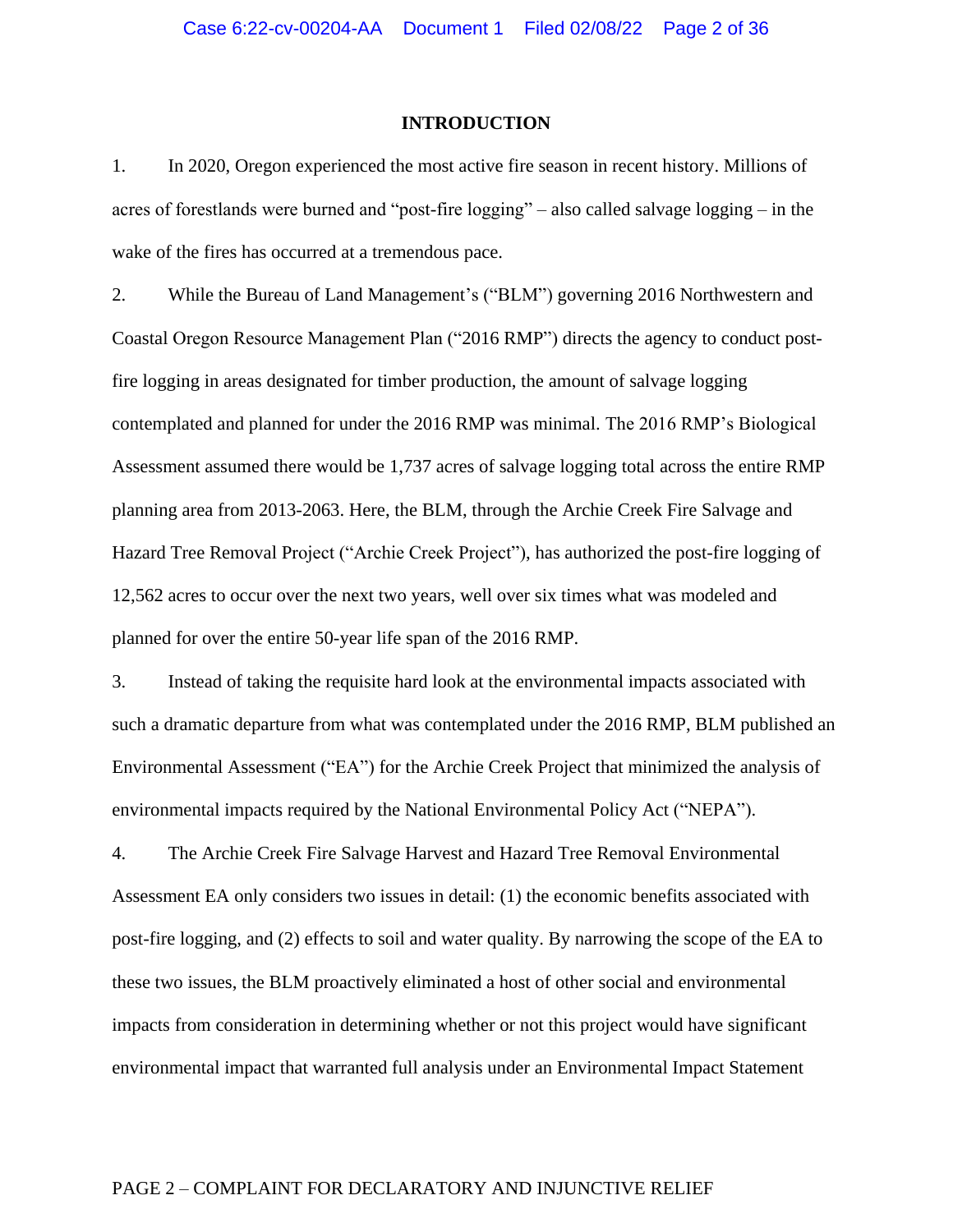#### **INTRODUCTION**

1. In 2020, Oregon experienced the most active fire season in recent history. Millions of acres of forestlands were burned and "post-fire logging" – also called salvage logging – in the wake of the fires has occurred at a tremendous pace.

2. While the Bureau of Land Management's ("BLM") governing 2016 Northwestern and Coastal Oregon Resource Management Plan ("2016 RMP") directs the agency to conduct postfire logging in areas designated for timber production, the amount of salvage logging contemplated and planned for under the 2016 RMP was minimal. The 2016 RMP's Biological Assessment assumed there would be 1,737 acres of salvage logging total across the entire RMP planning area from 2013-2063. Here, the BLM, through the Archie Creek Fire Salvage and Hazard Tree Removal Project ("Archie Creek Project"), has authorized the post-fire logging of 12,562 acres to occur over the next two years, well over six times what was modeled and planned for over the entire 50-year life span of the 2016 RMP.

3. Instead of taking the requisite hard look at the environmental impacts associated with such a dramatic departure from what was contemplated under the 2016 RMP, BLM published an Environmental Assessment ("EA") for the Archie Creek Project that minimized the analysis of environmental impacts required by the National Environmental Policy Act ("NEPA").

4. The Archie Creek Fire Salvage Harvest and Hazard Tree Removal Environmental Assessment EA only considers two issues in detail: (1) the economic benefits associated with post-fire logging, and (2) effects to soil and water quality. By narrowing the scope of the EA to these two issues, the BLM proactively eliminated a host of other social and environmental impacts from consideration in determining whether or not this project would have significant environmental impact that warranted full analysis under an Environmental Impact Statement

### PAGE 2 – COMPLAINT FOR DECLARATORY AND INJUNCTIVE RELIEF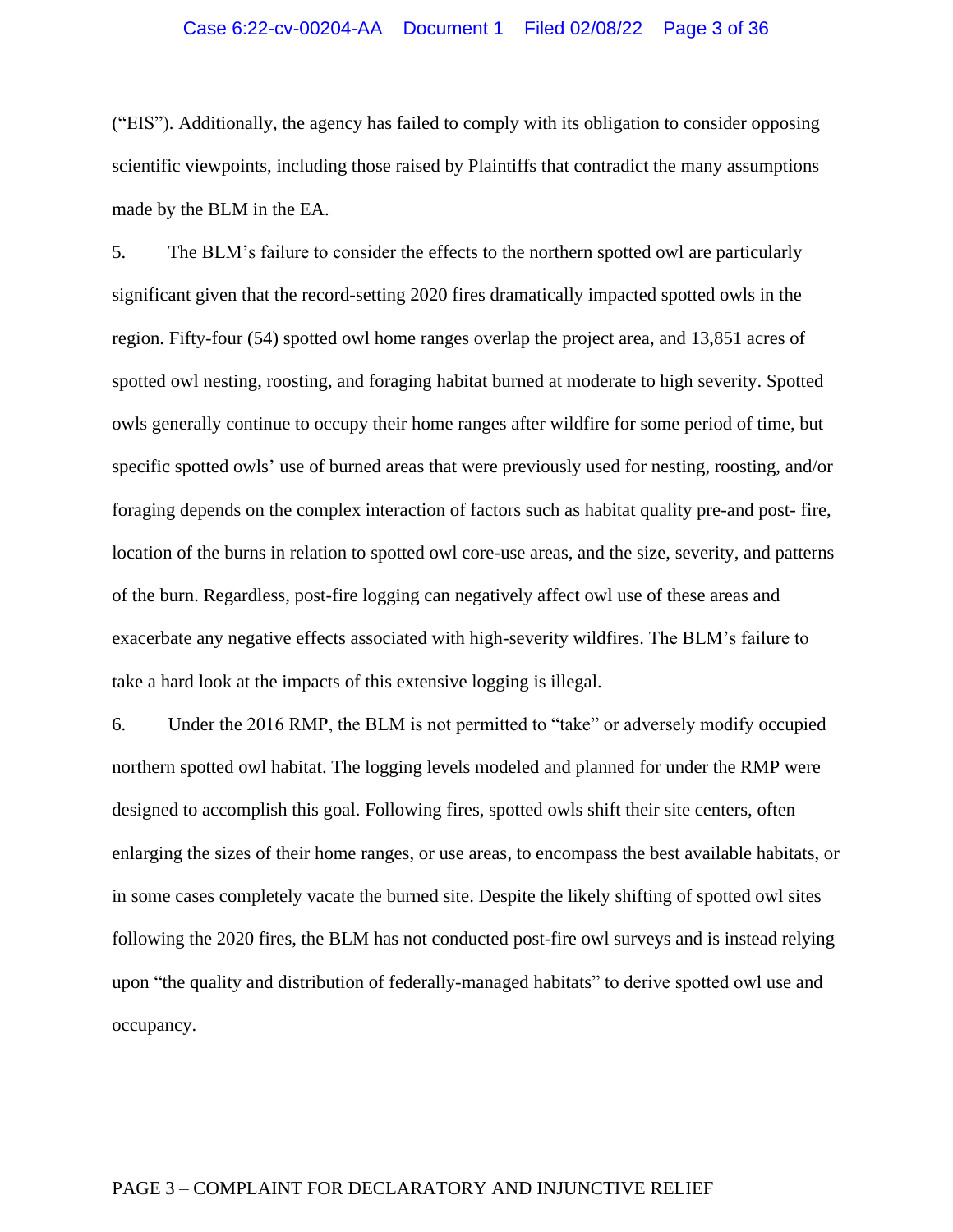## Case 6:22-cv-00204-AA Document 1 Filed 02/08/22 Page 3 of 36

("EIS"). Additionally, the agency has failed to comply with its obligation to consider opposing scientific viewpoints, including those raised by Plaintiffs that contradict the many assumptions made by the BLM in the EA.

5. The BLM's failure to consider the effects to the northern spotted owl are particularly significant given that the record-setting 2020 fires dramatically impacted spotted owls in the region. Fifty-four (54) spotted owl home ranges overlap the project area, and 13,851 acres of spotted owl nesting, roosting, and foraging habitat burned at moderate to high severity. Spotted owls generally continue to occupy their home ranges after wildfire for some period of time, but specific spotted owls' use of burned areas that were previously used for nesting, roosting, and/or foraging depends on the complex interaction of factors such as habitat quality pre-and post- fire, location of the burns in relation to spotted owl core-use areas, and the size, severity, and patterns of the burn. Regardless, post-fire logging can negatively affect owl use of these areas and exacerbate any negative effects associated with high-severity wildfires. The BLM's failure to take a hard look at the impacts of this extensive logging is illegal.

6. Under the 2016 RMP, the BLM is not permitted to "take" or adversely modify occupied northern spotted owl habitat. The logging levels modeled and planned for under the RMP were designed to accomplish this goal. Following fires, spotted owls shift their site centers, often enlarging the sizes of their home ranges, or use areas, to encompass the best available habitats, or in some cases completely vacate the burned site. Despite the likely shifting of spotted owl sites following the 2020 fires, the BLM has not conducted post-fire owl surveys and is instead relying upon "the quality and distribution of federally-managed habitats" to derive spotted owl use and occupancy.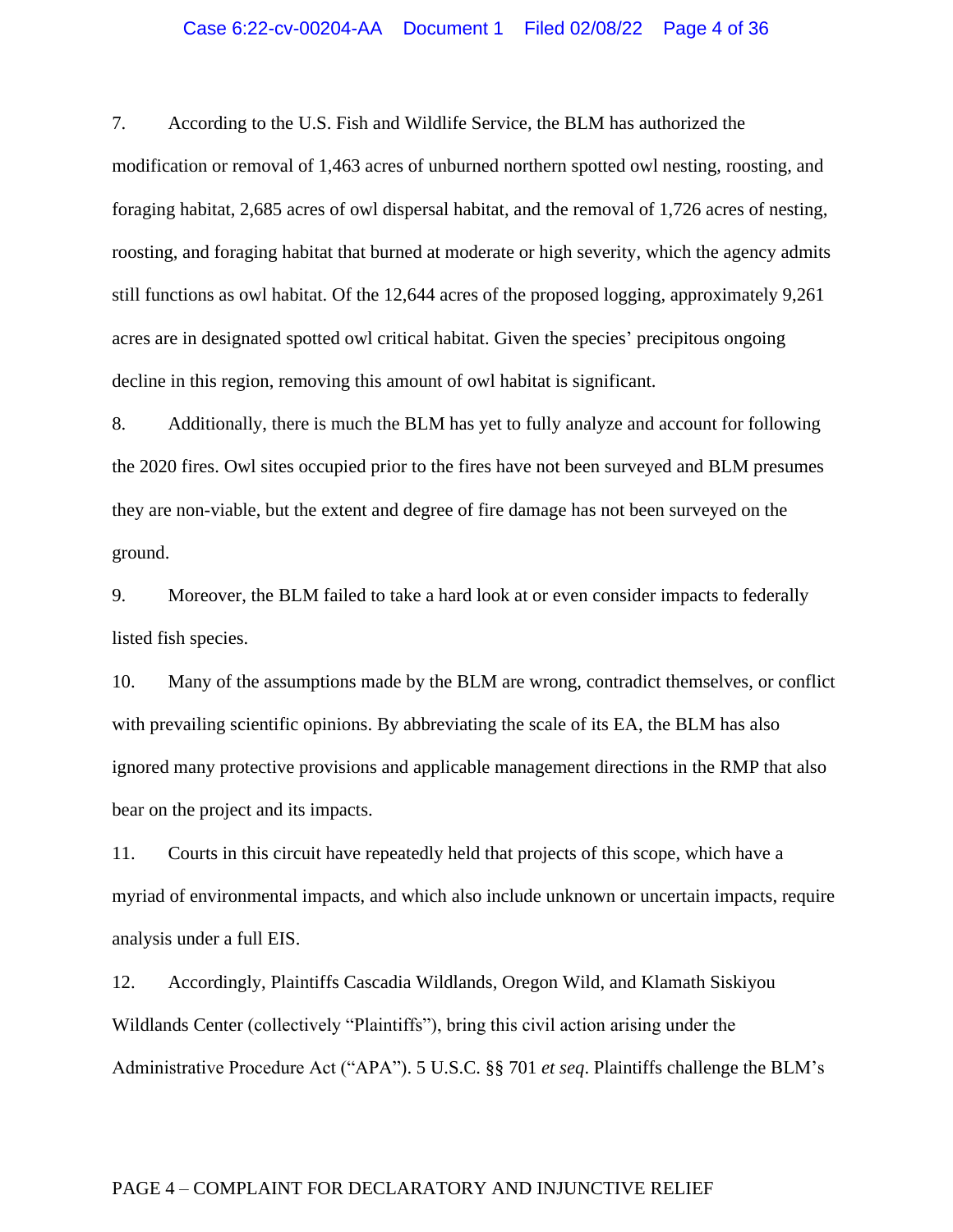### Case 6:22-cv-00204-AA Document 1 Filed 02/08/22 Page 4 of 36

7. According to the U.S. Fish and Wildlife Service, the BLM has authorized the

modification or removal of 1,463 acres of unburned northern spotted owl nesting, roosting, and foraging habitat, 2,685 acres of owl dispersal habitat, and the removal of 1,726 acres of nesting, roosting, and foraging habitat that burned at moderate or high severity, which the agency admits still functions as owl habitat. Of the 12,644 acres of the proposed logging, approximately 9,261 acres are in designated spotted owl critical habitat. Given the species' precipitous ongoing decline in this region, removing this amount of owl habitat is significant.

8. Additionally, there is much the BLM has yet to fully analyze and account for following the 2020 fires. Owl sites occupied prior to the fires have not been surveyed and BLM presumes they are non-viable, but the extent and degree of fire damage has not been surveyed on the ground.

9. Moreover, the BLM failed to take a hard look at or even consider impacts to federally listed fish species.

10. Many of the assumptions made by the BLM are wrong, contradict themselves, or conflict with prevailing scientific opinions. By abbreviating the scale of its EA, the BLM has also ignored many protective provisions and applicable management directions in the RMP that also bear on the project and its impacts.

11. Courts in this circuit have repeatedly held that projects of this scope, which have a myriad of environmental impacts, and which also include unknown or uncertain impacts, require analysis under a full EIS.

12. Accordingly, Plaintiffs Cascadia Wildlands, Oregon Wild, and Klamath Siskiyou Wildlands Center (collectively "Plaintiffs"), bring this civil action arising under the Administrative Procedure Act ("APA"). 5 U.S.C. §§ 701 *et seq*. Plaintiffs challenge the BLM's

### PAGE 4 – COMPLAINT FOR DECLARATORY AND INJUNCTIVE RELIEF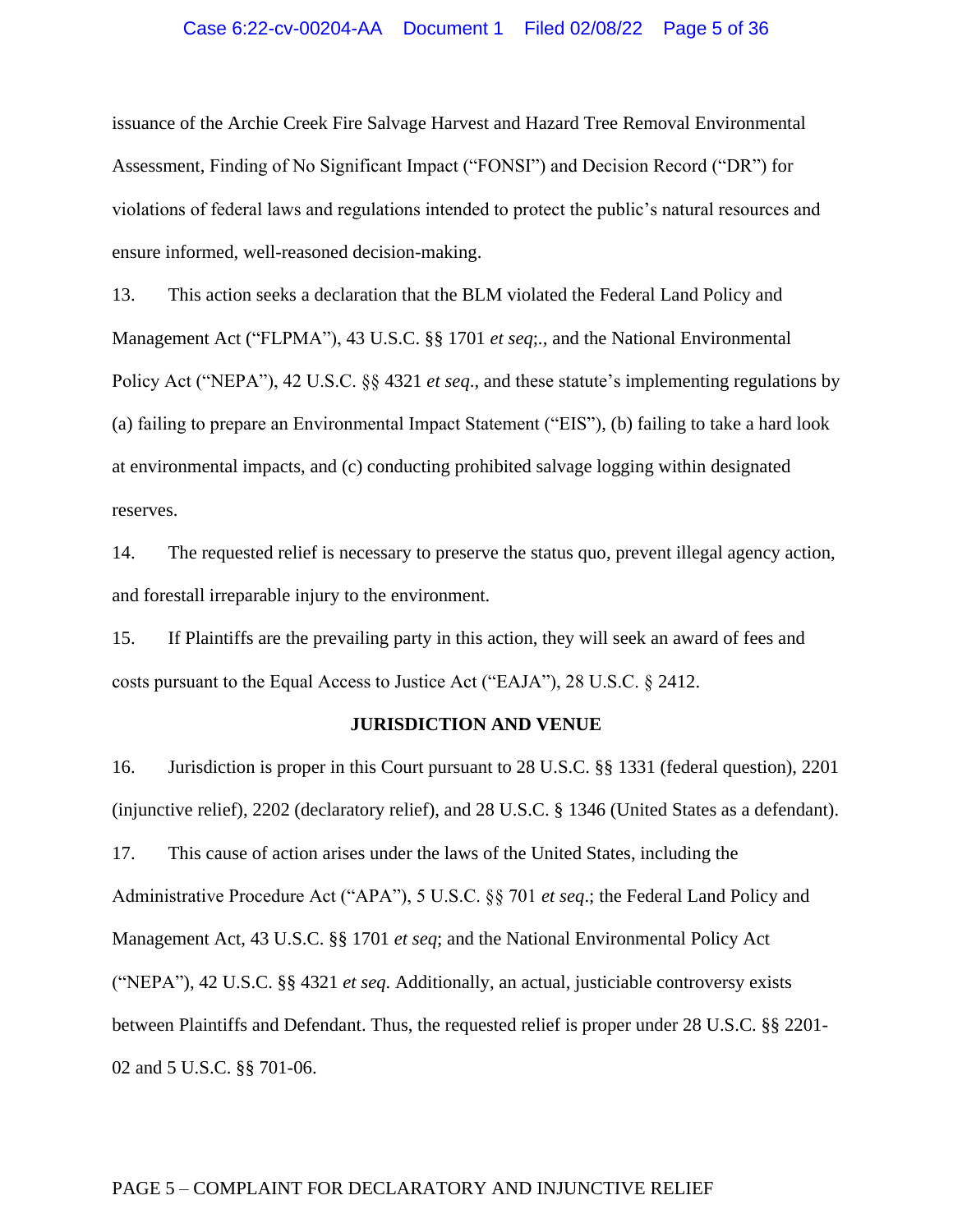### Case 6:22-cv-00204-AA Document 1 Filed 02/08/22 Page 5 of 36

issuance of the Archie Creek Fire Salvage Harvest and Hazard Tree Removal Environmental Assessment, Finding of No Significant Impact ("FONSI") and Decision Record ("DR") for violations of federal laws and regulations intended to protect the public's natural resources and ensure informed, well-reasoned decision-making.

13. This action seeks a declaration that the BLM violated the Federal Land Policy and Management Act ("FLPMA"), 43 U.S.C. §§ 1701 *et seq*;*.,* and the National Environmental Policy Act ("NEPA"), 42 U.S.C. §§ 4321 *et seq*., and these statute's implementing regulations by (a) failing to prepare an Environmental Impact Statement ("EIS"), (b) failing to take a hard look at environmental impacts, and (c) conducting prohibited salvage logging within designated reserves.

14. The requested relief is necessary to preserve the status quo, prevent illegal agency action, and forestall irreparable injury to the environment.

15. If Plaintiffs are the prevailing party in this action, they will seek an award of fees and costs pursuant to the Equal Access to Justice Act ("EAJA"), 28 U.S.C. § 2412.

#### **JURISDICTION AND VENUE**

16. Jurisdiction is proper in this Court pursuant to 28 U.S.C. §§ 1331 (federal question), 2201 (injunctive relief), 2202 (declaratory relief), and 28 U.S.C. § 1346 (United States as a defendant). 17. This cause of action arises under the laws of the United States, including the Administrative Procedure Act ("APA"), 5 U.S.C. §§ 701 *et seq*.; the Federal Land Policy and Management Act, 43 U.S.C. §§ 1701 *et seq*; and the National Environmental Policy Act ("NEPA"), 42 U.S.C. §§ 4321 *et seq*. Additionally, an actual, justiciable controversy exists between Plaintiffs and Defendant. Thus, the requested relief is proper under 28 U.S.C. §§ 2201- 02 and 5 U.S.C. §§ 701-06.

### PAGE 5 – COMPLAINT FOR DECLARATORY AND INJUNCTIVE RELIEF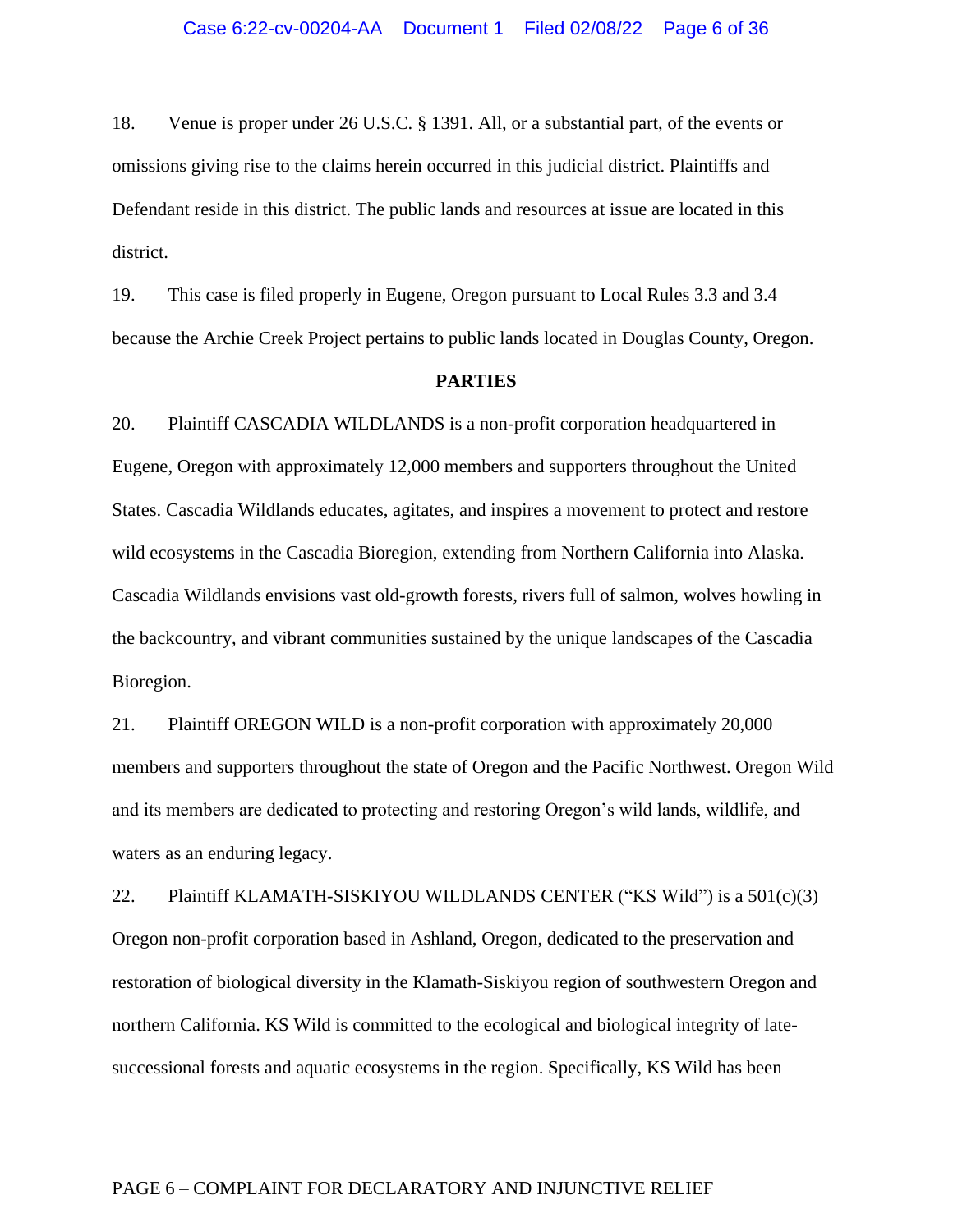18. Venue is proper under 26 U.S.C. § 1391. All, or a substantial part, of the events or omissions giving rise to the claims herein occurred in this judicial district. Plaintiffs and Defendant reside in this district. The public lands and resources at issue are located in this district.

19. This case is filed properly in Eugene, Oregon pursuant to Local Rules 3.3 and 3.4 because the Archie Creek Project pertains to public lands located in Douglas County, Oregon.

#### **PARTIES**

20. Plaintiff CASCADIA WILDLANDS is a non-profit corporation headquartered in Eugene, Oregon with approximately 12,000 members and supporters throughout the United States. Cascadia Wildlands educates, agitates, and inspires a movement to protect and restore wild ecosystems in the Cascadia Bioregion, extending from Northern California into Alaska. Cascadia Wildlands envisions vast old-growth forests, rivers full of salmon, wolves howling in the backcountry, and vibrant communities sustained by the unique landscapes of the Cascadia Bioregion.

21. Plaintiff OREGON WILD is a non-profit corporation with approximately 20,000 members and supporters throughout the state of Oregon and the Pacific Northwest. Oregon Wild and its members are dedicated to protecting and restoring Oregon's wild lands, wildlife, and waters as an enduring legacy.

22. Plaintiff KLAMATH-SISKIYOU WILDLANDS CENTER ("KS Wild") is a  $501(c)(3)$ Oregon non-profit corporation based in Ashland, Oregon, dedicated to the preservation and restoration of biological diversity in the Klamath-Siskiyou region of southwestern Oregon and northern California. KS Wild is committed to the ecological and biological integrity of latesuccessional forests and aquatic ecosystems in the region. Specifically, KS Wild has been

## PAGE 6 – COMPLAINT FOR DECLARATORY AND INJUNCTIVE RELIEF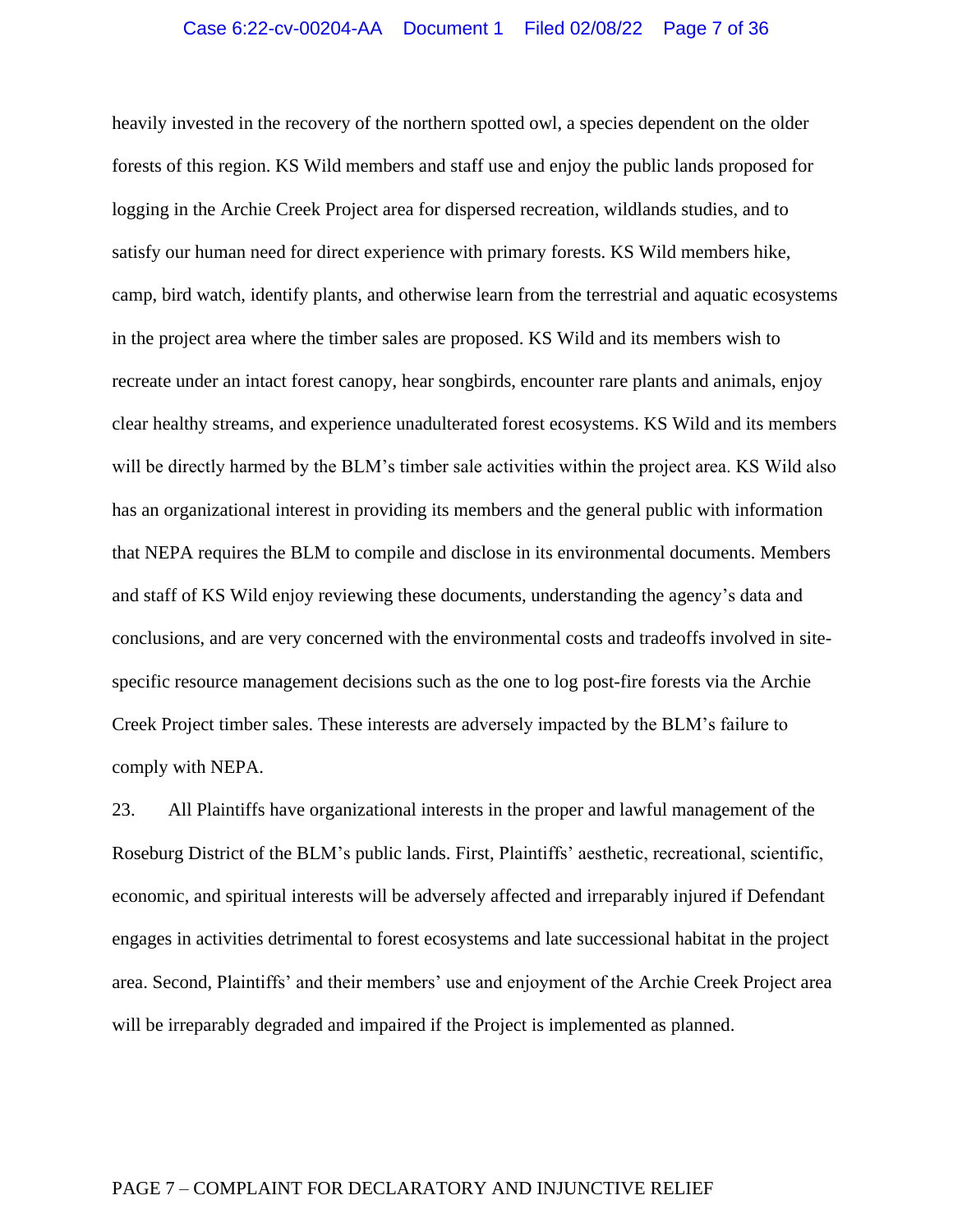### Case 6:22-cv-00204-AA Document 1 Filed 02/08/22 Page 7 of 36

heavily invested in the recovery of the northern spotted owl, a species dependent on the older forests of this region. KS Wild members and staff use and enjoy the public lands proposed for logging in the Archie Creek Project area for dispersed recreation, wildlands studies, and to satisfy our human need for direct experience with primary forests. KS Wild members hike, camp, bird watch, identify plants, and otherwise learn from the terrestrial and aquatic ecosystems in the project area where the timber sales are proposed. KS Wild and its members wish to recreate under an intact forest canopy, hear songbirds, encounter rare plants and animals, enjoy clear healthy streams, and experience unadulterated forest ecosystems. KS Wild and its members will be directly harmed by the BLM's timber sale activities within the project area. KS Wild also has an organizational interest in providing its members and the general public with information that NEPA requires the BLM to compile and disclose in its environmental documents. Members and staff of KS Wild enjoy reviewing these documents, understanding the agency's data and conclusions, and are very concerned with the environmental costs and tradeoffs involved in sitespecific resource management decisions such as the one to log post-fire forests via the Archie Creek Project timber sales. These interests are adversely impacted by the BLM's failure to comply with NEPA.

23. All Plaintiffs have organizational interests in the proper and lawful management of the Roseburg District of the BLM's public lands. First, Plaintiffs' aesthetic, recreational, scientific, economic, and spiritual interests will be adversely affected and irreparably injured if Defendant engages in activities detrimental to forest ecosystems and late successional habitat in the project area. Second, Plaintiffs' and their members' use and enjoyment of the Archie Creek Project area will be irreparably degraded and impaired if the Project is implemented as planned.

### PAGE 7 – COMPLAINT FOR DECLARATORY AND INJUNCTIVE RELIEF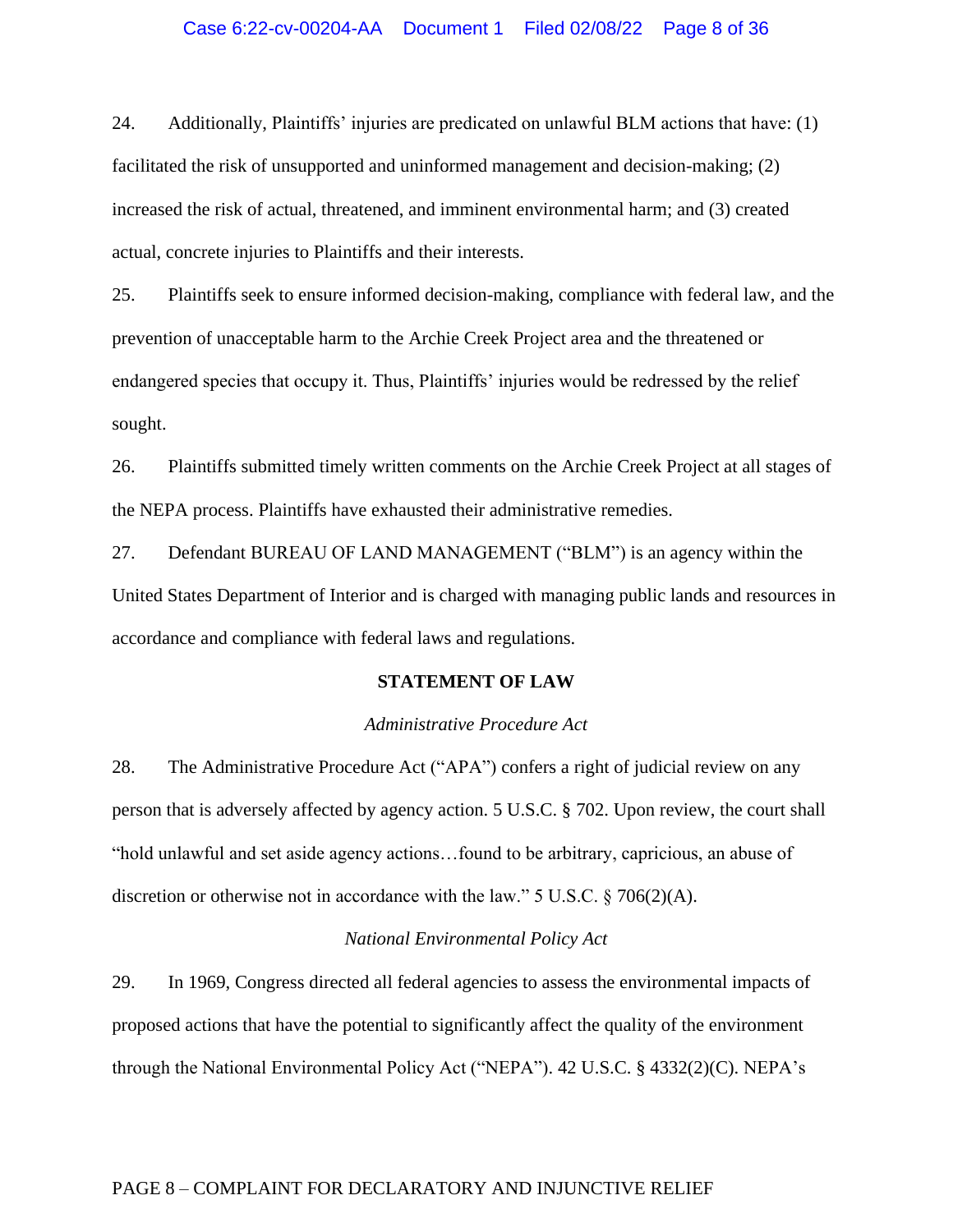### Case 6:22-cv-00204-AA Document 1 Filed 02/08/22 Page 8 of 36

24. Additionally, Plaintiffs' injuries are predicated on unlawful BLM actions that have: (1) facilitated the risk of unsupported and uninformed management and decision-making; (2) increased the risk of actual, threatened, and imminent environmental harm; and (3) created actual, concrete injuries to Plaintiffs and their interests.

25. Plaintiffs seek to ensure informed decision-making, compliance with federal law, and the prevention of unacceptable harm to the Archie Creek Project area and the threatened or endangered species that occupy it. Thus, Plaintiffs' injuries would be redressed by the relief sought.

26. Plaintiffs submitted timely written comments on the Archie Creek Project at all stages of the NEPA process. Plaintiffs have exhausted their administrative remedies.

27. Defendant BUREAU OF LAND MANAGEMENT ("BLM") is an agency within the United States Department of Interior and is charged with managing public lands and resources in accordance and compliance with federal laws and regulations.

#### **STATEMENT OF LAW**

### *Administrative Procedure Act*

28. The Administrative Procedure Act ("APA") confers a right of judicial review on any person that is adversely affected by agency action. 5 U.S.C. § 702. Upon review, the court shall "hold unlawful and set aside agency actions…found to be arbitrary, capricious, an abuse of discretion or otherwise not in accordance with the law." 5 U.S.C. § 706(2)(A).

#### *National Environmental Policy Act*

29. In 1969, Congress directed all federal agencies to assess the environmental impacts of proposed actions that have the potential to significantly affect the quality of the environment through the National Environmental Policy Act ("NEPA"). 42 U.S.C. § 4332(2)(C). NEPA's

## PAGE 8 – COMPLAINT FOR DECLARATORY AND INJUNCTIVE RELIEF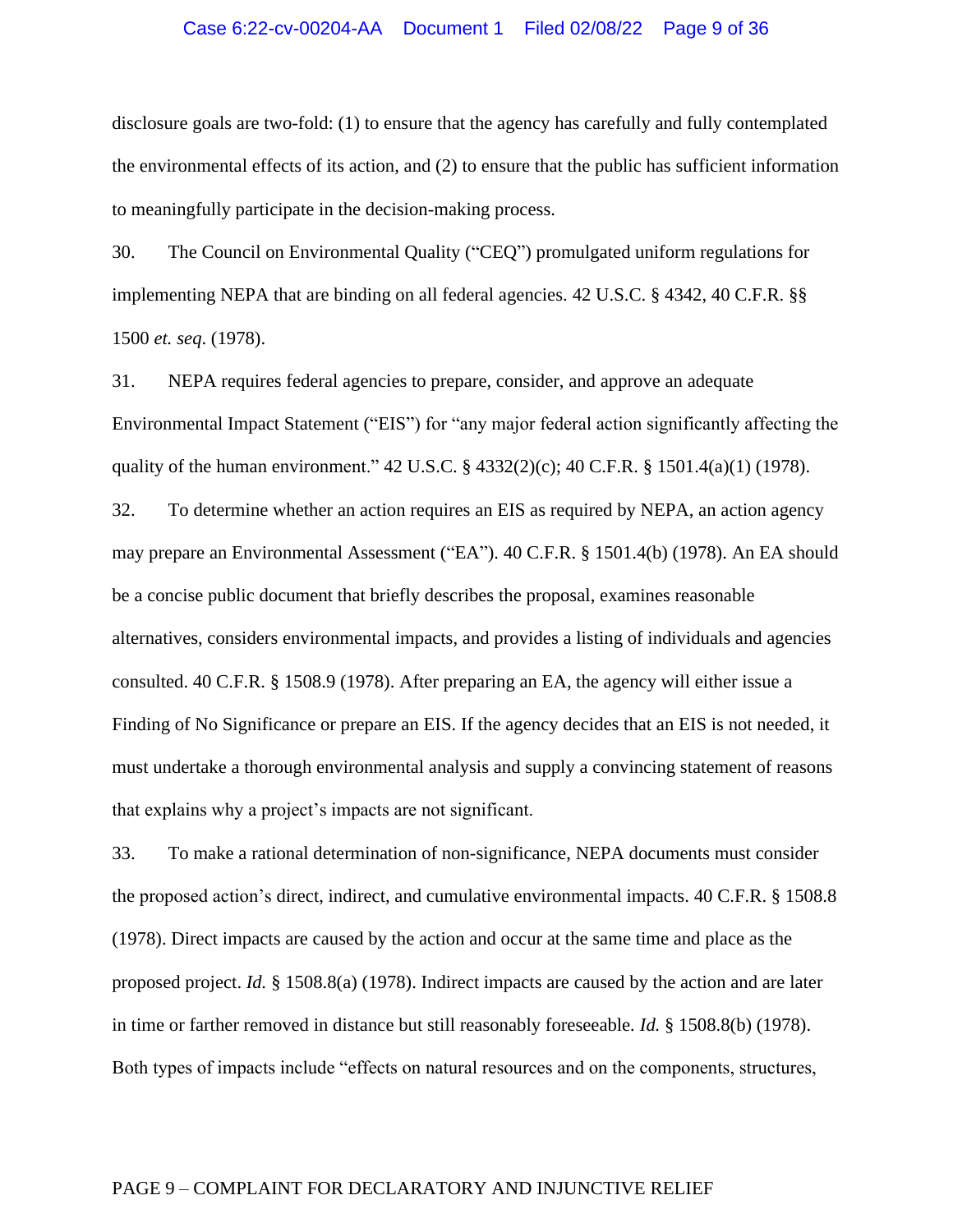#### Case 6:22-cv-00204-AA Document 1 Filed 02/08/22 Page 9 of 36

disclosure goals are two-fold: (1) to ensure that the agency has carefully and fully contemplated the environmental effects of its action, and (2) to ensure that the public has sufficient information to meaningfully participate in the decision-making process.

30. The Council on Environmental Quality ("CEQ") promulgated uniform regulations for implementing NEPA that are binding on all federal agencies. 42 U.S.C. § 4342, 40 C.F.R. §§ 1500 *et. seq*. (1978).

31. NEPA requires federal agencies to prepare, consider, and approve an adequate Environmental Impact Statement ("EIS") for "any major federal action significantly affecting the quality of the human environment." 42 U.S.C. § 4332(2)(c); 40 C.F.R. § 1501.4(a)(1) (1978).

32. To determine whether an action requires an EIS as required by NEPA, an action agency may prepare an Environmental Assessment ("EA"). 40 C.F.R. § 1501.4(b) (1978). An EA should be a concise public document that briefly describes the proposal, examines reasonable alternatives, considers environmental impacts, and provides a listing of individuals and agencies consulted. 40 C.F.R. § 1508.9 (1978). After preparing an EA, the agency will either issue a Finding of No Significance or prepare an EIS. If the agency decides that an EIS is not needed, it must undertake a thorough environmental analysis and supply a convincing statement of reasons that explains why a project's impacts are not significant.

33. To make a rational determination of non-significance, NEPA documents must consider the proposed action's direct, indirect, and cumulative environmental impacts. 40 C.F.R. § 1508.8 (1978). Direct impacts are caused by the action and occur at the same time and place as the proposed project. *Id.* § 1508.8(a) (1978). Indirect impacts are caused by the action and are later in time or farther removed in distance but still reasonably foreseeable*. Id.* § 1508.8(b) (1978). Both types of impacts include "effects on natural resources and on the components, structures,

### PAGE 9 – COMPLAINT FOR DECLARATORY AND INJUNCTIVE RELIEF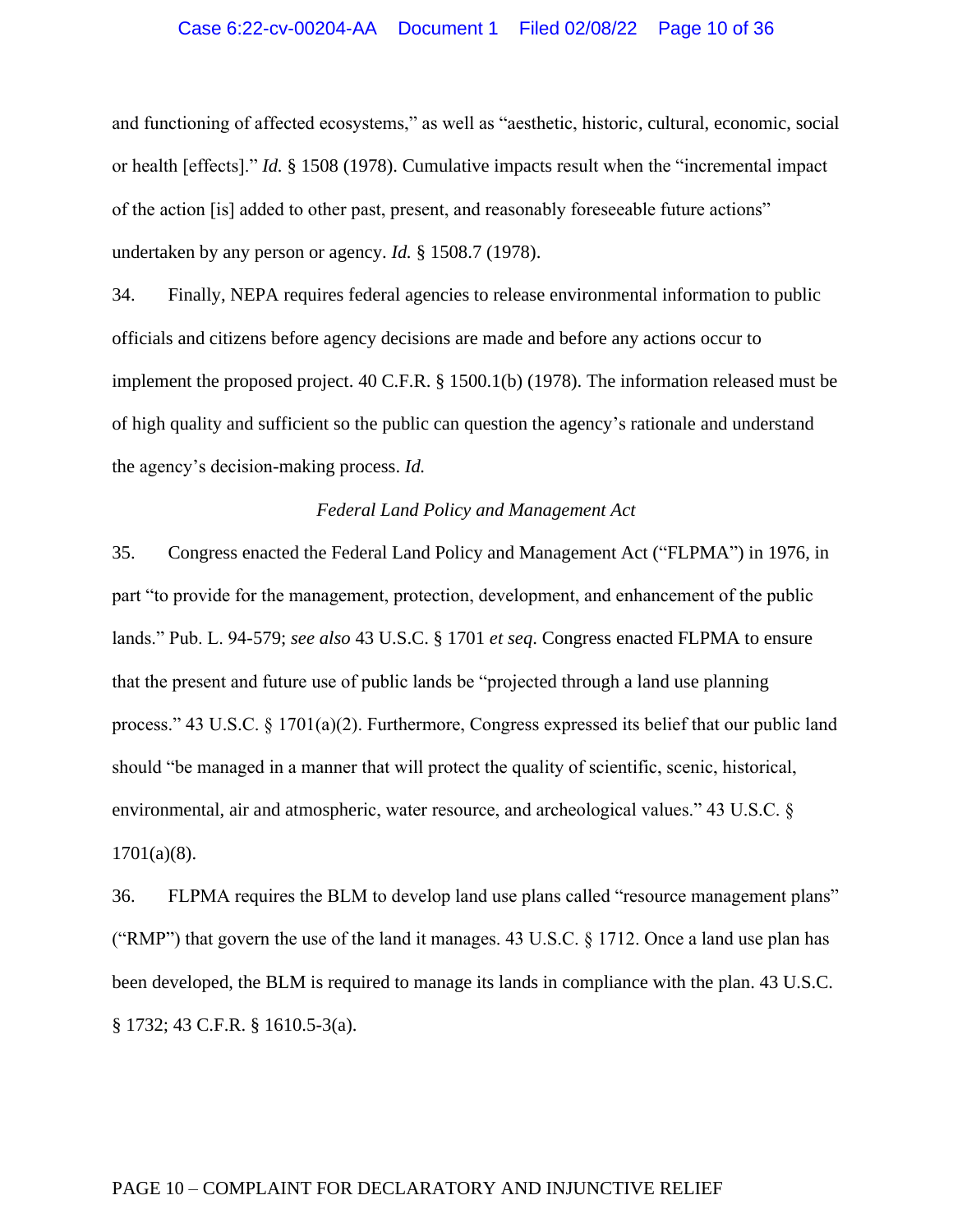#### Case 6:22-cv-00204-AA Document 1 Filed 02/08/22 Page 10 of 36

and functioning of affected ecosystems," as well as "aesthetic, historic, cultural, economic, social or health [effects]." *Id.* § 1508 (1978). Cumulative impacts result when the "incremental impact of the action [is] added to other past, present, and reasonably foreseeable future actions" undertaken by any person or agency. *Id.* § 1508.7 (1978).

34. Finally, NEPA requires federal agencies to release environmental information to public officials and citizens before agency decisions are made and before any actions occur to implement the proposed project. 40 C.F.R. § 1500.1(b) (1978). The information released must be of high quality and sufficient so the public can question the agency's rationale and understand the agency's decision-making process. *Id.*

#### *Federal Land Policy and Management Act*

35. Congress enacted the Federal Land Policy and Management Act ("FLPMA") in 1976, in part "to provide for the management, protection, development, and enhancement of the public lands." Pub. L. 94-579; *see also* 43 U.S.C. § 1701 *et seq*. Congress enacted FLPMA to ensure that the present and future use of public lands be "projected through a land use planning process." 43 U.S.C. § 1701(a)(2). Furthermore, Congress expressed its belief that our public land should "be managed in a manner that will protect the quality of scientific, scenic, historical, environmental, air and atmospheric, water resource, and archeological values." 43 U.S.C. §  $1701(a)(8)$ .

36. FLPMA requires the BLM to develop land use plans called "resource management plans" ("RMP") that govern the use of the land it manages. 43 U.S.C.  $\S$  1712. Once a land use plan has been developed, the BLM is required to manage its lands in compliance with the plan. 43 U.S.C. § 1732; 43 C.F.R. § 1610.5-3(a).

### PAGE 10 – COMPLAINT FOR DECLARATORY AND INJUNCTIVE RELIEF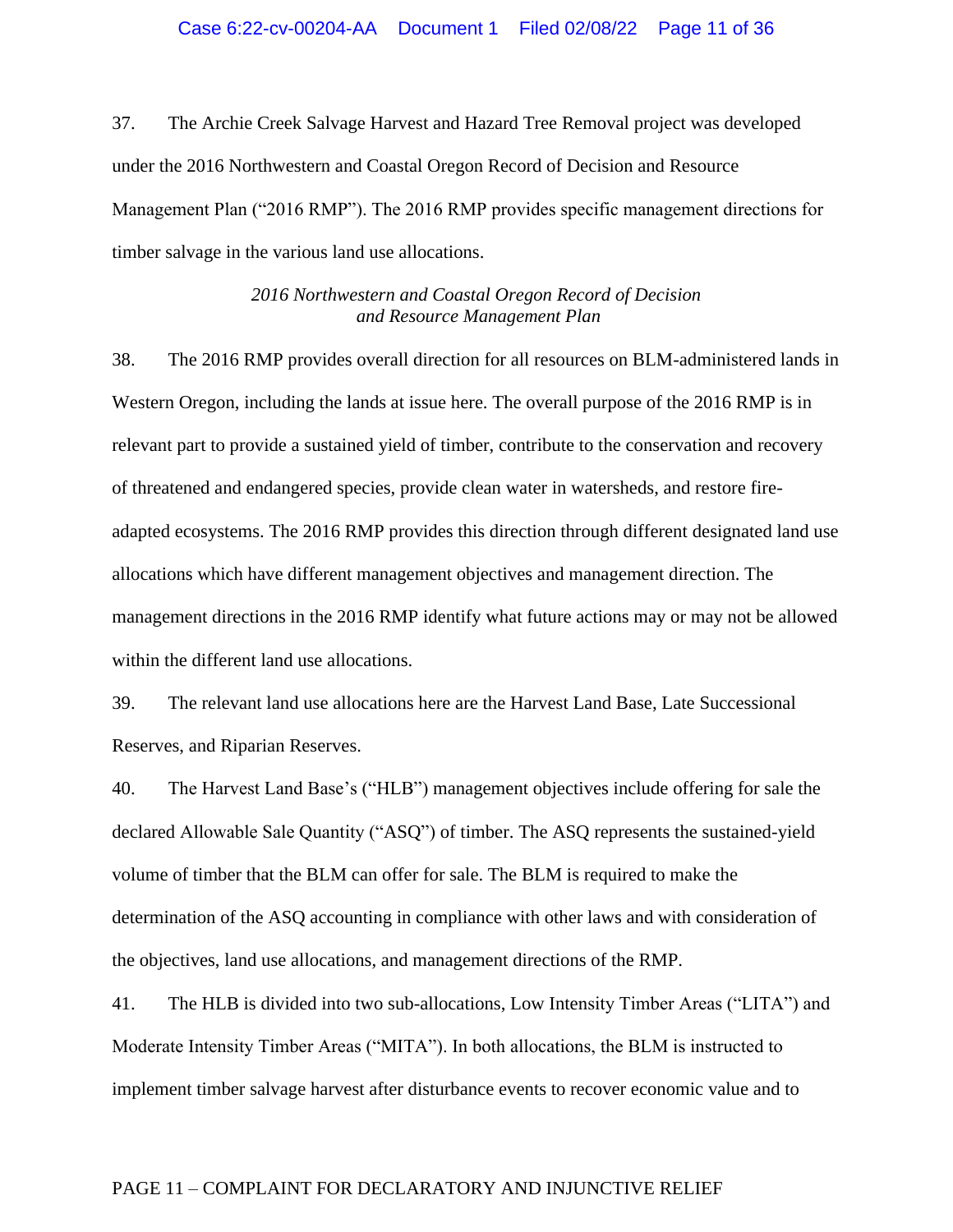37. The Archie Creek Salvage Harvest and Hazard Tree Removal project was developed under the 2016 Northwestern and Coastal Oregon Record of Decision and Resource Management Plan ("2016 RMP"). The 2016 RMP provides specific management directions for timber salvage in the various land use allocations.

> *2016 Northwestern and Coastal Oregon Record of Decision and Resource Management Plan*

38. The 2016 RMP provides overall direction for all resources on BLM-administered lands in Western Oregon, including the lands at issue here. The overall purpose of the 2016 RMP is in relevant part to provide a sustained yield of timber, contribute to the conservation and recovery of threatened and endangered species, provide clean water in watersheds, and restore fireadapted ecosystems. The 2016 RMP provides this direction through different designated land use allocations which have different management objectives and management direction. The management directions in the 2016 RMP identify what future actions may or may not be allowed within the different land use allocations.

39. The relevant land use allocations here are the Harvest Land Base, Late Successional Reserves, and Riparian Reserves.

40. The Harvest Land Base's ("HLB") management objectives include offering for sale the declared Allowable Sale Quantity ("ASQ") of timber. The ASQ represents the sustained-yield volume of timber that the BLM can offer for sale. The BLM is required to make the determination of the ASQ accounting in compliance with other laws and with consideration of the objectives, land use allocations, and management directions of the RMP.

41. The HLB is divided into two sub-allocations, Low Intensity Timber Areas ("LITA") and Moderate Intensity Timber Areas ("MITA"). In both allocations, the BLM is instructed to implement timber salvage harvest after disturbance events to recover economic value and to

## PAGE 11 – COMPLAINT FOR DECLARATORY AND INJUNCTIVE RELIEF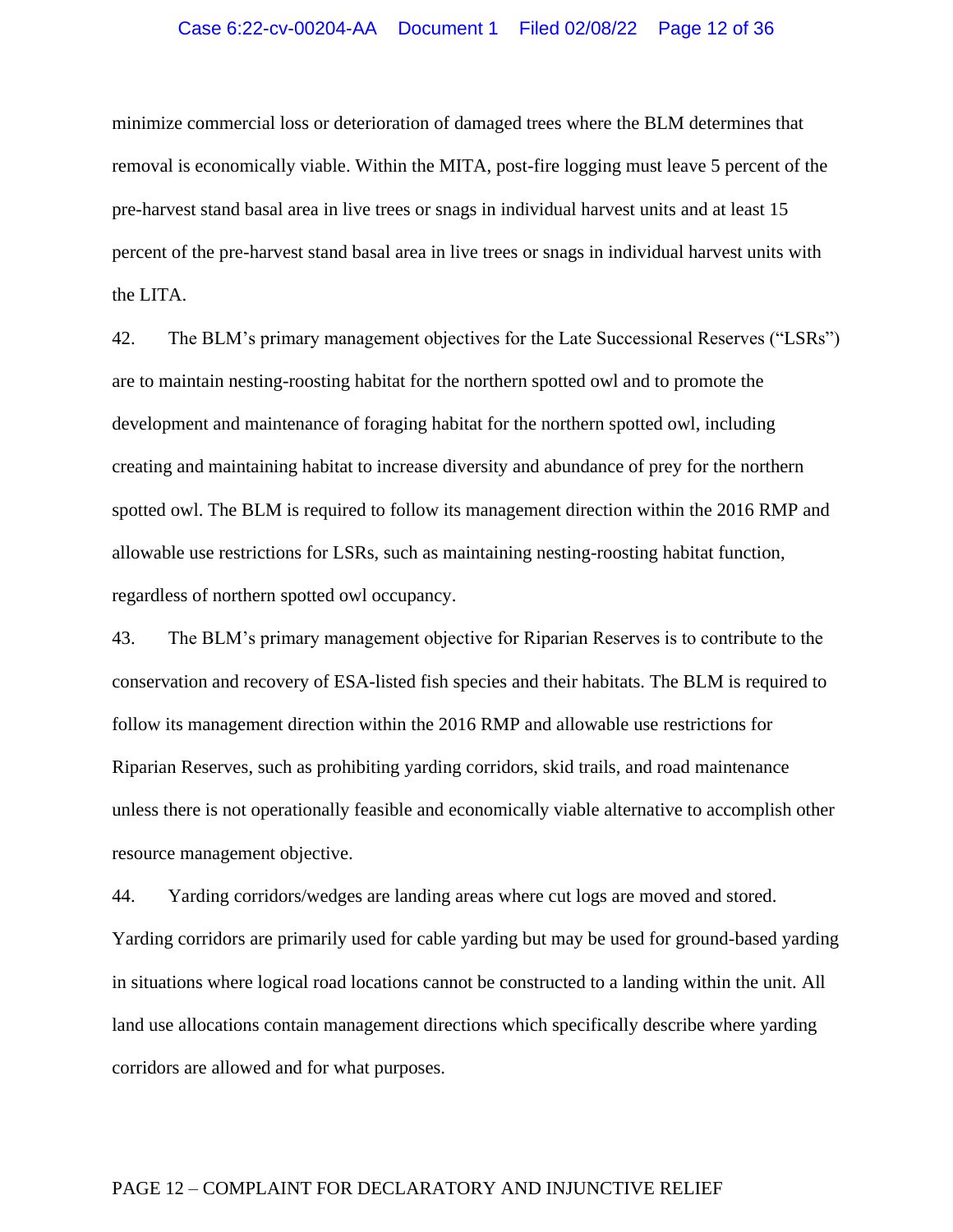#### Case 6:22-cv-00204-AA Document 1 Filed 02/08/22 Page 12 of 36

minimize commercial loss or deterioration of damaged trees where the BLM determines that removal is economically viable. Within the MITA, post-fire logging must leave 5 percent of the pre-harvest stand basal area in live trees or snags in individual harvest units and at least 15 percent of the pre-harvest stand basal area in live trees or snags in individual harvest units with the LITA.

42. The BLM's primary management objectives for the Late Successional Reserves ("LSRs") are to maintain nesting-roosting habitat for the northern spotted owl and to promote the development and maintenance of foraging habitat for the northern spotted owl, including creating and maintaining habitat to increase diversity and abundance of prey for the northern spotted owl. The BLM is required to follow its management direction within the 2016 RMP and allowable use restrictions for LSRs, such as maintaining nesting-roosting habitat function, regardless of northern spotted owl occupancy.

43. The BLM's primary management objective for Riparian Reserves is to contribute to the conservation and recovery of ESA-listed fish species and their habitats. The BLM is required to follow its management direction within the 2016 RMP and allowable use restrictions for Riparian Reserves, such as prohibiting yarding corridors, skid trails, and road maintenance unless there is not operationally feasible and economically viable alternative to accomplish other resource management objective.

44. Yarding corridors/wedges are landing areas where cut logs are moved and stored. Yarding corridors are primarily used for cable yarding but may be used for ground-based yarding in situations where logical road locations cannot be constructed to a landing within the unit. All land use allocations contain management directions which specifically describe where yarding corridors are allowed and for what purposes.

#### PAGE 12 – COMPLAINT FOR DECLARATORY AND INJUNCTIVE RELIEF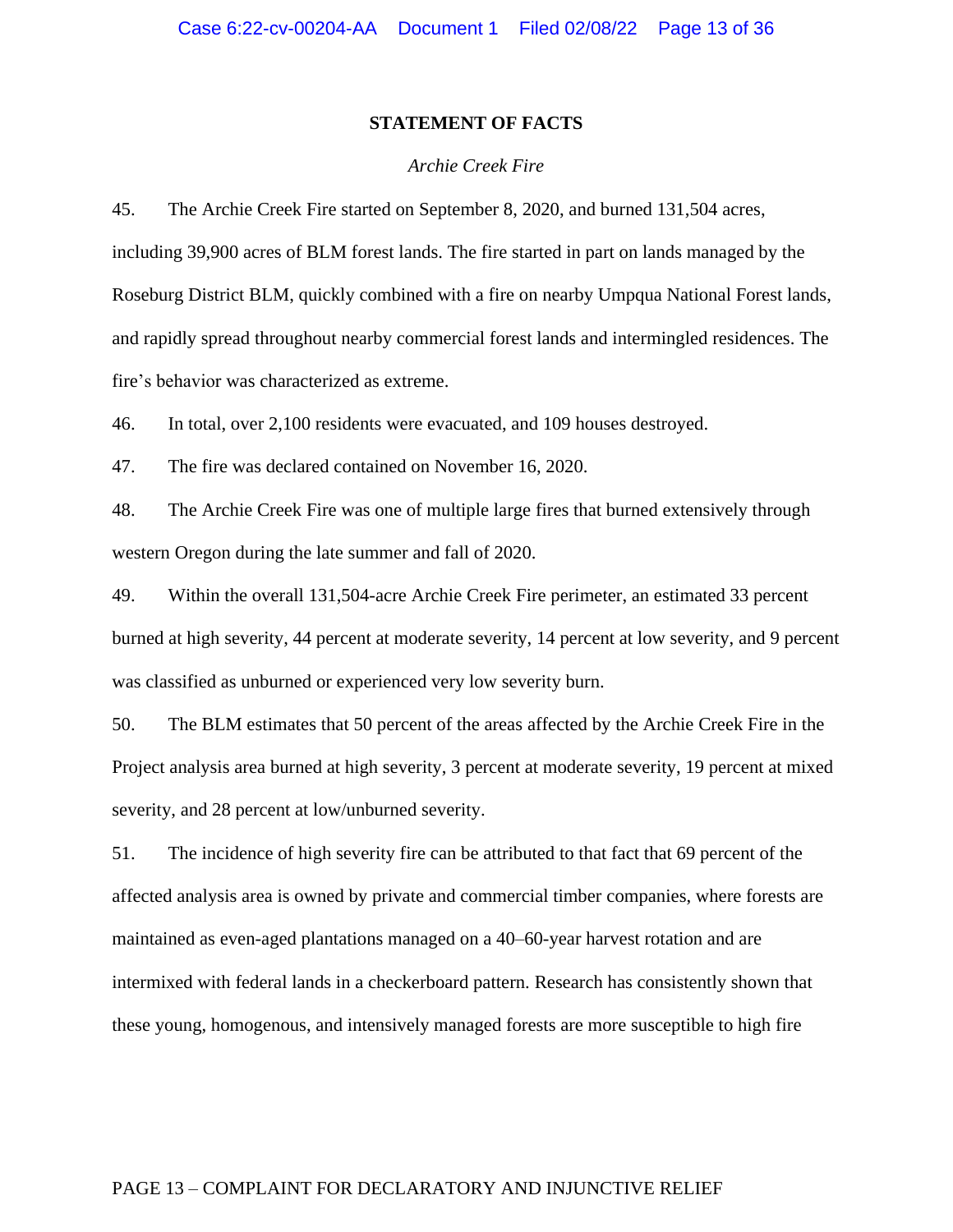## **STATEMENT OF FACTS**

#### *Archie Creek Fire*

45. The Archie Creek Fire started on September 8, 2020, and burned 131,504 acres, including 39,900 acres of BLM forest lands. The fire started in part on lands managed by the Roseburg District BLM, quickly combined with a fire on nearby Umpqua National Forest lands, and rapidly spread throughout nearby commercial forest lands and intermingled residences. The fire's behavior was characterized as extreme.

46. In total, over 2,100 residents were evacuated, and 109 houses destroyed.

47. The fire was declared contained on November 16, 2020.

48. The Archie Creek Fire was one of multiple large fires that burned extensively through western Oregon during the late summer and fall of 2020.

49. Within the overall 131,504-acre Archie Creek Fire perimeter, an estimated 33 percent burned at high severity, 44 percent at moderate severity, 14 percent at low severity, and 9 percent was classified as unburned or experienced very low severity burn.

50. The BLM estimates that 50 percent of the areas affected by the Archie Creek Fire in the Project analysis area burned at high severity, 3 percent at moderate severity, 19 percent at mixed severity, and 28 percent at low/unburned severity.

51. The incidence of high severity fire can be attributed to that fact that 69 percent of the affected analysis area is owned by private and commercial timber companies, where forests are maintained as even-aged plantations managed on a 40–60-year harvest rotation and are intermixed with federal lands in a checkerboard pattern. Research has consistently shown that these young, homogenous, and intensively managed forests are more susceptible to high fire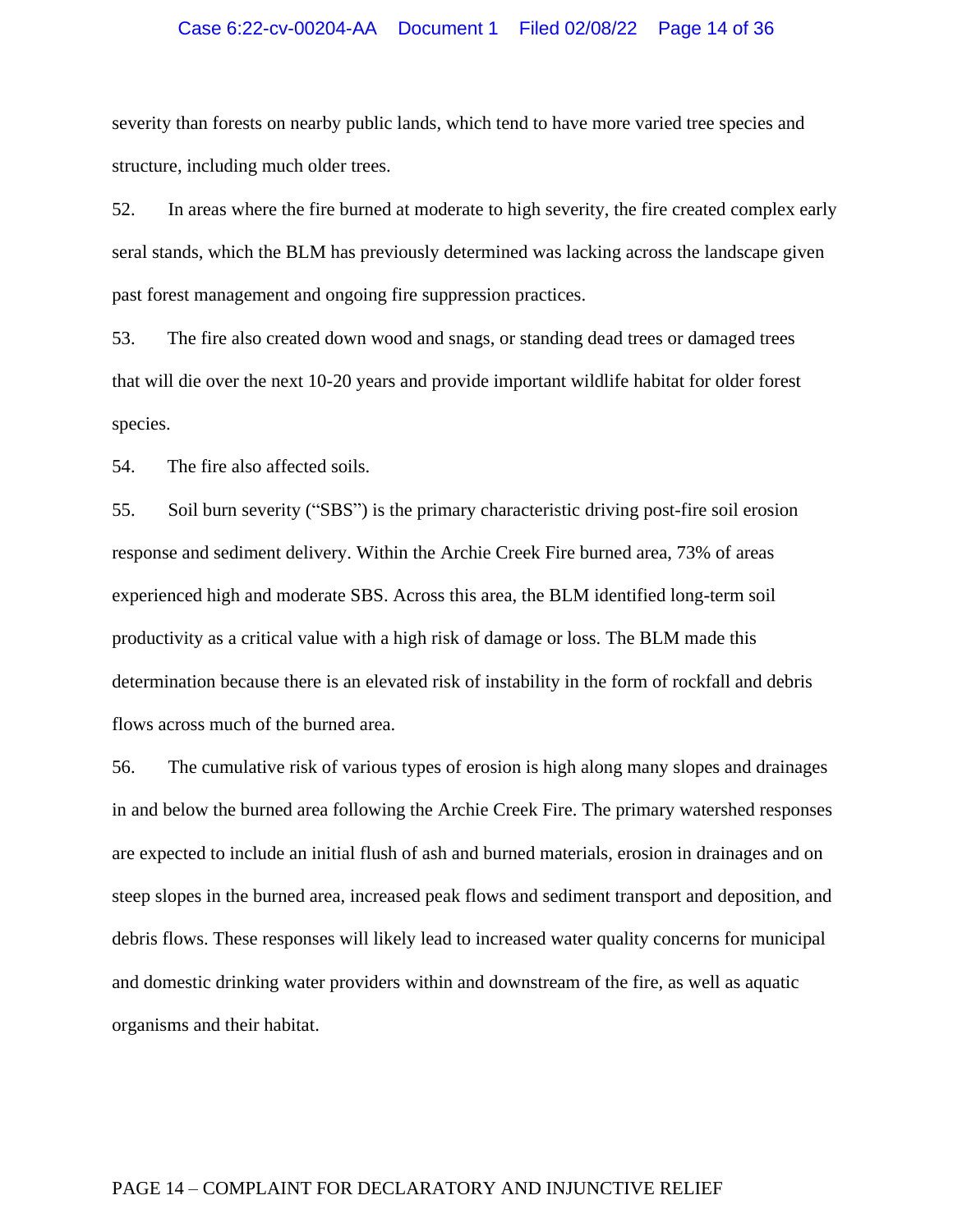## Case 6:22-cv-00204-AA Document 1 Filed 02/08/22 Page 14 of 36

severity than forests on nearby public lands, which tend to have more varied tree species and structure, including much older trees.

52. In areas where the fire burned at moderate to high severity, the fire created complex early seral stands, which the BLM has previously determined was lacking across the landscape given past forest management and ongoing fire suppression practices.

53. The fire also created down wood and snags, or standing dead trees or damaged trees that will die over the next 10-20 years and provide important wildlife habitat for older forest species.

54. The fire also affected soils.

55. Soil burn severity ("SBS") is the primary characteristic driving post-fire soil erosion response and sediment delivery. Within the Archie Creek Fire burned area, 73% of areas experienced high and moderate SBS. Across this area, the BLM identified long-term soil productivity as a critical value with a high risk of damage or loss. The BLM made this determination because there is an elevated risk of instability in the form of rockfall and debris flows across much of the burned area.

56. The cumulative risk of various types of erosion is high along many slopes and drainages in and below the burned area following the Archie Creek Fire. The primary watershed responses are expected to include an initial flush of ash and burned materials, erosion in drainages and on steep slopes in the burned area, increased peak flows and sediment transport and deposition, and debris flows. These responses will likely lead to increased water quality concerns for municipal and domestic drinking water providers within and downstream of the fire, as well as aquatic organisms and their habitat.

### PAGE 14 – COMPLAINT FOR DECLARATORY AND INJUNCTIVE RELIEF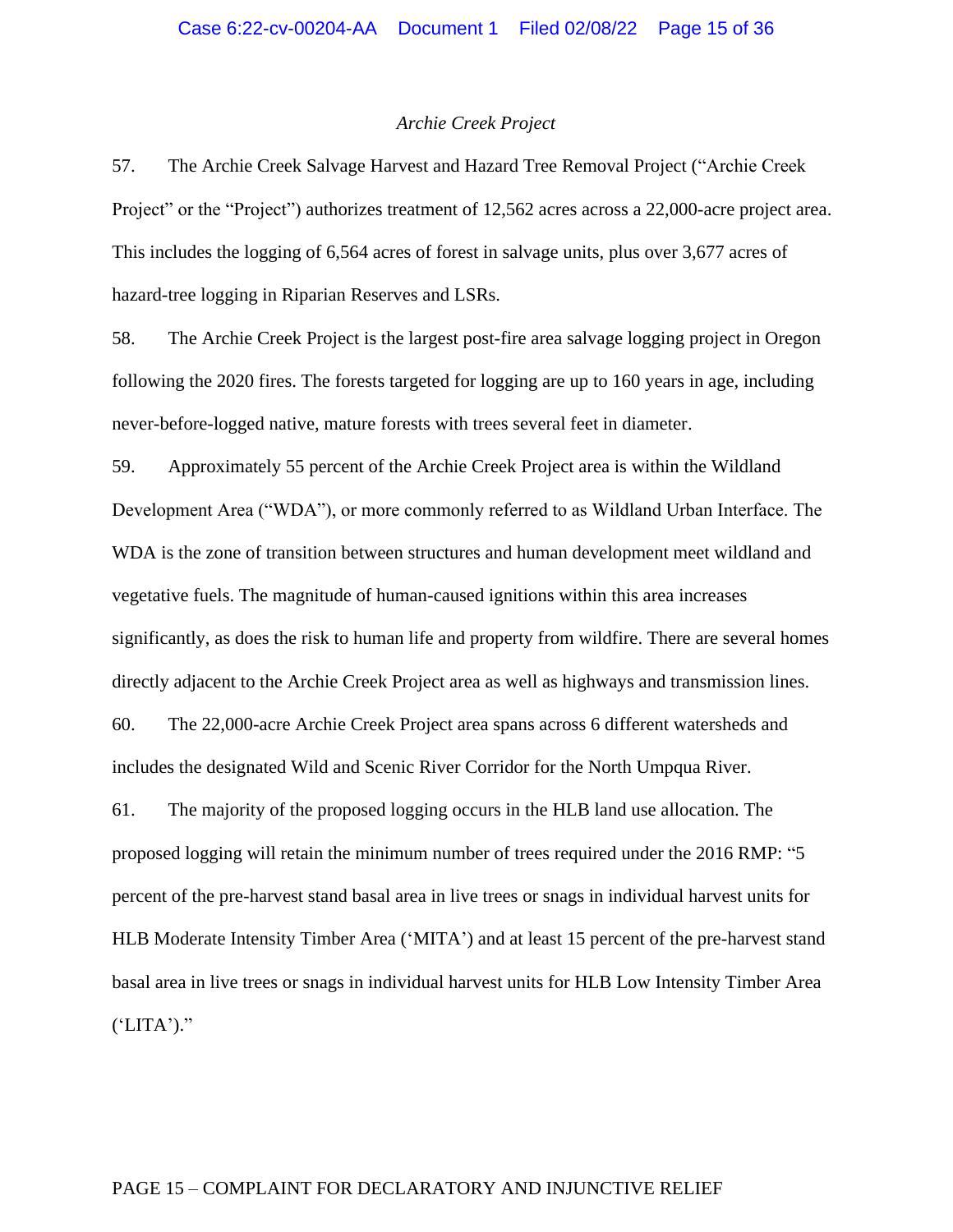#### *Archie Creek Project*

57. The Archie Creek Salvage Harvest and Hazard Tree Removal Project ("Archie Creek Project" or the "Project") authorizes treatment of 12,562 acres across a 22,000-acre project area. This includes the logging of 6,564 acres of forest in salvage units, plus over 3,677 acres of hazard-tree logging in Riparian Reserves and LSRs.

58. The Archie Creek Project is the largest post-fire area salvage logging project in Oregon following the 2020 fires. The forests targeted for logging are up to 160 years in age, including never-before-logged native, mature forests with trees several feet in diameter.

59. Approximately 55 percent of the Archie Creek Project area is within the Wildland Development Area ("WDA"), or more commonly referred to as Wildland Urban Interface. The WDA is the zone of transition between structures and human development meet wildland and vegetative fuels. The magnitude of human-caused ignitions within this area increases significantly, as does the risk to human life and property from wildfire. There are several homes directly adjacent to the Archie Creek Project area as well as highways and transmission lines. 60. The 22,000-acre Archie Creek Project area spans across 6 different watersheds and includes the designated Wild and Scenic River Corridor for the North Umpqua River. 61. The majority of the proposed logging occurs in the HLB land use allocation. The

proposed logging will retain the minimum number of trees required under the 2016 RMP: "5 percent of the pre-harvest stand basal area in live trees or snags in individual harvest units for HLB Moderate Intensity Timber Area ('MITA') and at least 15 percent of the pre-harvest stand basal area in live trees or snags in individual harvest units for HLB Low Intensity Timber Area  $(LITA')$ ."

#### PAGE 15 – COMPLAINT FOR DECLARATORY AND INJUNCTIVE RELIEF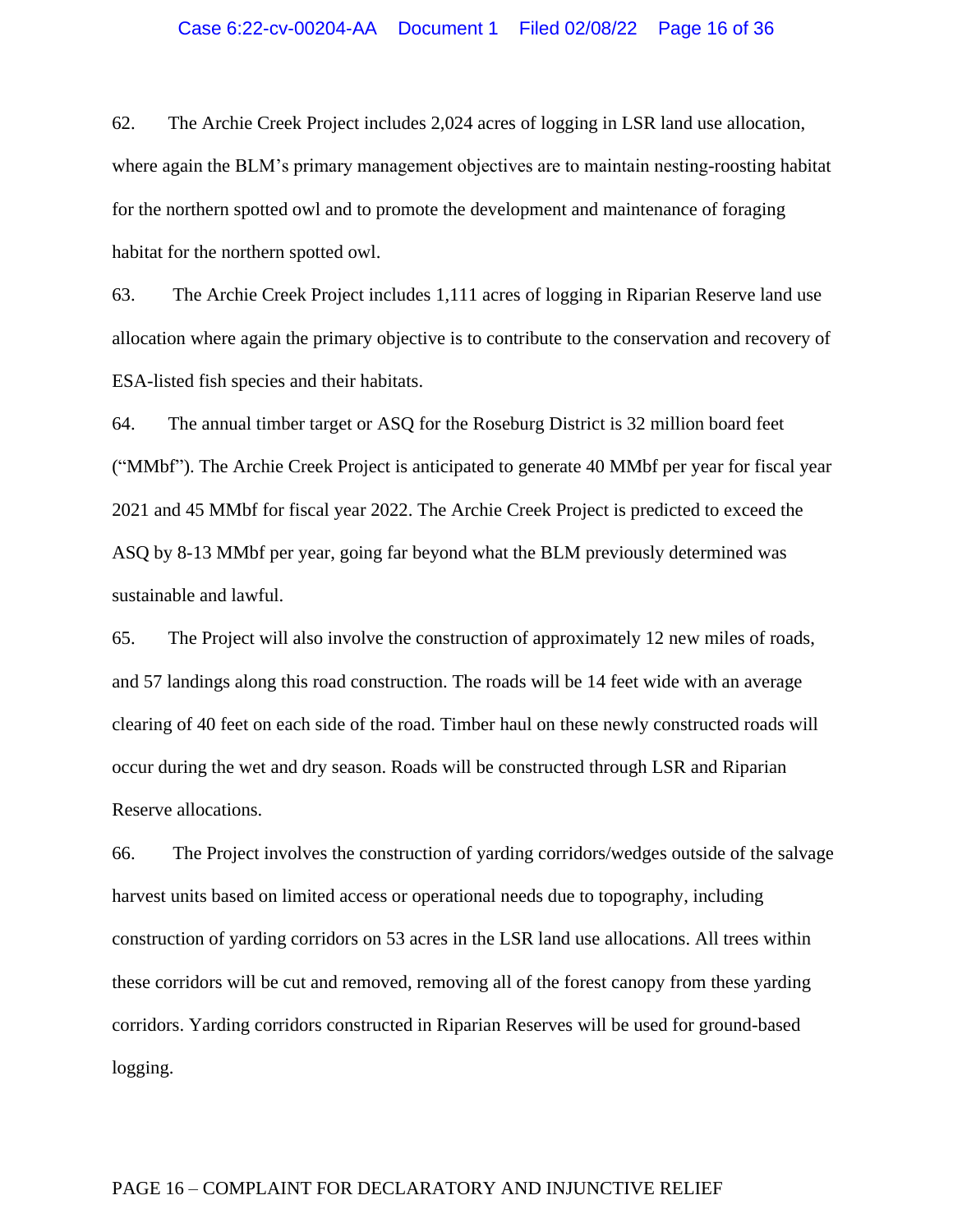#### Case 6:22-cv-00204-AA Document 1 Filed 02/08/22 Page 16 of 36

62. The Archie Creek Project includes 2,024 acres of logging in LSR land use allocation, where again the BLM's primary management objectives are to maintain nesting-roosting habitat for the northern spotted owl and to promote the development and maintenance of foraging habitat for the northern spotted owl.

63. The Archie Creek Project includes 1,111 acres of logging in Riparian Reserve land use allocation where again the primary objective is to contribute to the conservation and recovery of ESA-listed fish species and their habitats.

64. The annual timber target or ASQ for the Roseburg District is 32 million board feet ("MMbf"). The Archie Creek Project is anticipated to generate 40 MMbf per year for fiscal year 2021 and 45 MMbf for fiscal year 2022. The Archie Creek Project is predicted to exceed the ASQ by 8-13 MMbf per year, going far beyond what the BLM previously determined was sustainable and lawful.

65. The Project will also involve the construction of approximately 12 new miles of roads, and 57 landings along this road construction. The roads will be 14 feet wide with an average clearing of 40 feet on each side of the road. Timber haul on these newly constructed roads will occur during the wet and dry season. Roads will be constructed through LSR and Riparian Reserve allocations.

66. The Project involves the construction of yarding corridors/wedges outside of the salvage harvest units based on limited access or operational needs due to topography, including construction of yarding corridors on 53 acres in the LSR land use allocations. All trees within these corridors will be cut and removed, removing all of the forest canopy from these yarding corridors. Yarding corridors constructed in Riparian Reserves will be used for ground-based logging.

### PAGE 16 – COMPLAINT FOR DECLARATORY AND INJUNCTIVE RELIEF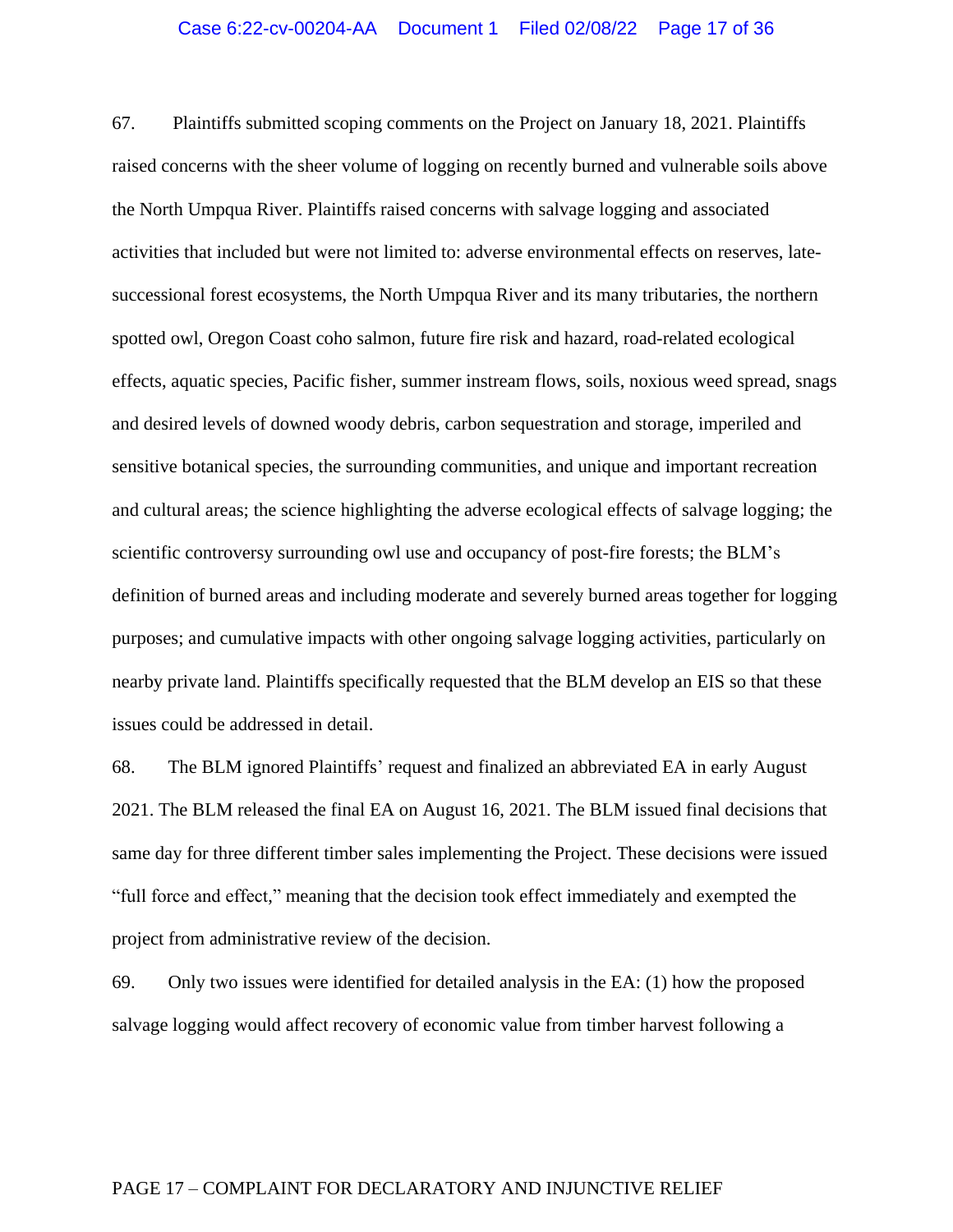67. Plaintiffs submitted scoping comments on the Project on January 18, 2021. Plaintiffs raised concerns with the sheer volume of logging on recently burned and vulnerable soils above the North Umpqua River. Plaintiffs raised concerns with salvage logging and associated activities that included but were not limited to: adverse environmental effects on reserves, latesuccessional forest ecosystems, the North Umpqua River and its many tributaries, the northern spotted owl, Oregon Coast coho salmon, future fire risk and hazard, road-related ecological effects, aquatic species, Pacific fisher, summer instream flows, soils, noxious weed spread, snags and desired levels of downed woody debris, carbon sequestration and storage, imperiled and sensitive botanical species, the surrounding communities, and unique and important recreation and cultural areas; the science highlighting the adverse ecological effects of salvage logging; the scientific controversy surrounding owl use and occupancy of post-fire forests; the BLM's definition of burned areas and including moderate and severely burned areas together for logging purposes; and cumulative impacts with other ongoing salvage logging activities, particularly on nearby private land. Plaintiffs specifically requested that the BLM develop an EIS so that these issues could be addressed in detail.

68. The BLM ignored Plaintiffs' request and finalized an abbreviated EA in early August 2021. The BLM released the final EA on August 16, 2021. The BLM issued final decisions that same day for three different timber sales implementing the Project. These decisions were issued "full force and effect," meaning that the decision took effect immediately and exempted the project from administrative review of the decision.

69. Only two issues were identified for detailed analysis in the EA: (1) how the proposed salvage logging would affect recovery of economic value from timber harvest following a

### PAGE 17 – COMPLAINT FOR DECLARATORY AND INJUNCTIVE RELIEF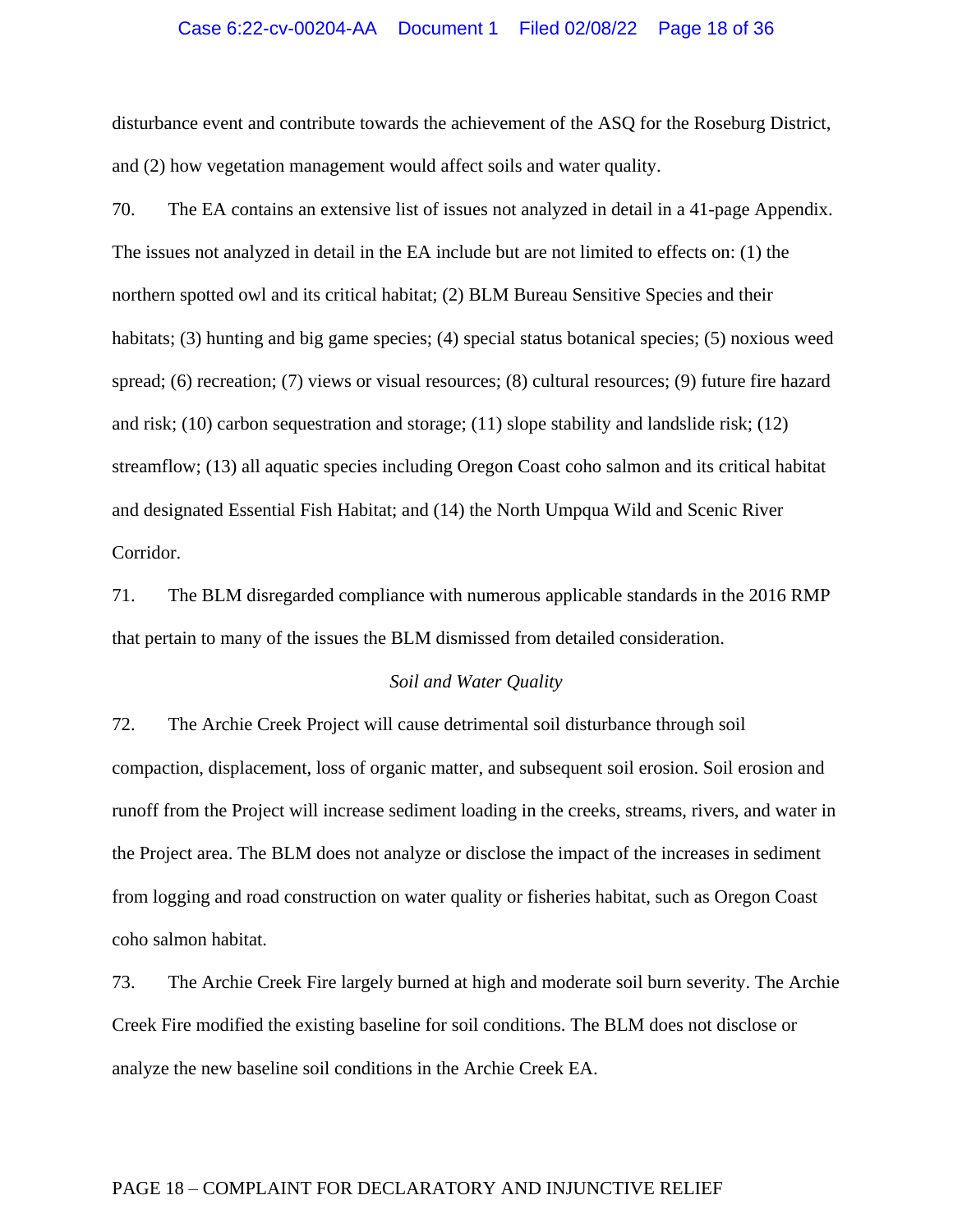### Case 6:22-cv-00204-AA Document 1 Filed 02/08/22 Page 18 of 36

disturbance event and contribute towards the achievement of the ASQ for the Roseburg District, and (2) how vegetation management would affect soils and water quality.

70. The EA contains an extensive list of issues not analyzed in detail in a 41-page Appendix. The issues not analyzed in detail in the EA include but are not limited to effects on: (1) the northern spotted owl and its critical habitat; (2) BLM Bureau Sensitive Species and their habitats; (3) hunting and big game species; (4) special status botanical species; (5) noxious weed spread; (6) recreation; (7) views or visual resources; (8) cultural resources; (9) future fire hazard and risk; (10) carbon sequestration and storage; (11) slope stability and landslide risk; (12) streamflow; (13) all aquatic species including Oregon Coast coho salmon and its critical habitat and designated Essential Fish Habitat; and (14) the North Umpqua Wild and Scenic River Corridor.

71. The BLM disregarded compliance with numerous applicable standards in the 2016 RMP that pertain to many of the issues the BLM dismissed from detailed consideration.

### *Soil and Water Quality*

72. The Archie Creek Project will cause detrimental soil disturbance through soil compaction, displacement, loss of organic matter, and subsequent soil erosion. Soil erosion and runoff from the Project will increase sediment loading in the creeks, streams, rivers, and water in the Project area. The BLM does not analyze or disclose the impact of the increases in sediment from logging and road construction on water quality or fisheries habitat, such as Oregon Coast coho salmon habitat.

73. The Archie Creek Fire largely burned at high and moderate soil burn severity. The Archie Creek Fire modified the existing baseline for soil conditions. The BLM does not disclose or analyze the new baseline soil conditions in the Archie Creek EA.

### PAGE 18 – COMPLAINT FOR DECLARATORY AND INJUNCTIVE RELIEF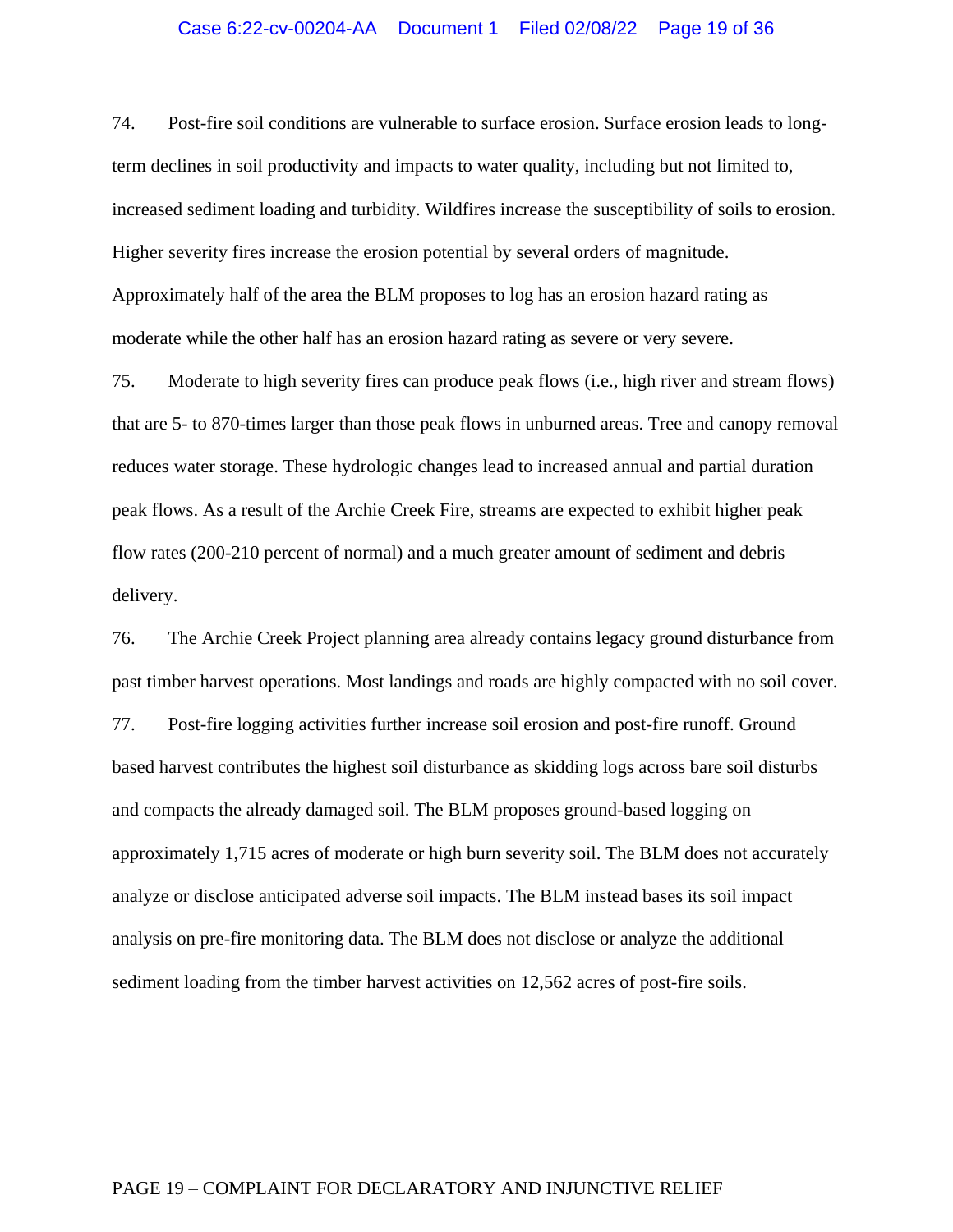### Case 6:22-cv-00204-AA Document 1 Filed 02/08/22 Page 19 of 36

74. Post-fire soil conditions are vulnerable to surface erosion. Surface erosion leads to longterm declines in soil productivity and impacts to water quality, including but not limited to, increased sediment loading and turbidity. Wildfires increase the susceptibility of soils to erosion. Higher severity fires increase the erosion potential by several orders of magnitude. Approximately half of the area the BLM proposes to log has an erosion hazard rating as moderate while the other half has an erosion hazard rating as severe or very severe.

75. Moderate to high severity fires can produce peak flows (i.e., high river and stream flows) that are 5- to 870-times larger than those peak flows in unburned areas. Tree and canopy removal reduces water storage. These hydrologic changes lead to increased annual and partial duration peak flows. As a result of the Archie Creek Fire, streams are expected to exhibit higher peak flow rates (200-210 percent of normal) and a much greater amount of sediment and debris delivery.

76. The Archie Creek Project planning area already contains legacy ground disturbance from past timber harvest operations. Most landings and roads are highly compacted with no soil cover. 77. Post-fire logging activities further increase soil erosion and post-fire runoff. Ground based harvest contributes the highest soil disturbance as skidding logs across bare soil disturbs and compacts the already damaged soil. The BLM proposes ground-based logging on approximately 1,715 acres of moderate or high burn severity soil. The BLM does not accurately analyze or disclose anticipated adverse soil impacts. The BLM instead bases its soil impact analysis on pre-fire monitoring data. The BLM does not disclose or analyze the additional sediment loading from the timber harvest activities on 12,562 acres of post-fire soils.

## PAGE 19 – COMPLAINT FOR DECLARATORY AND INJUNCTIVE RELIEF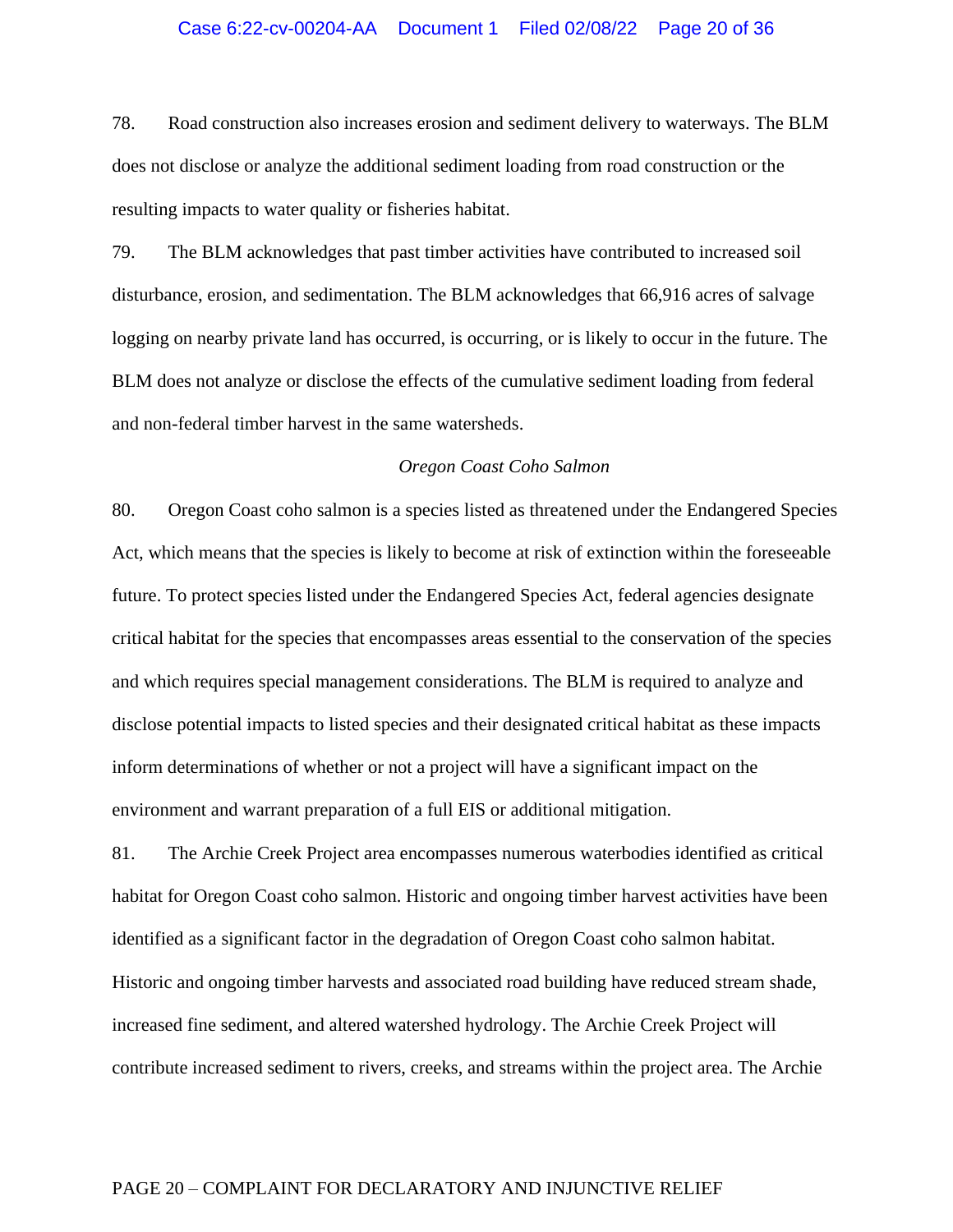### Case 6:22-cv-00204-AA Document 1 Filed 02/08/22 Page 20 of 36

78. Road construction also increases erosion and sediment delivery to waterways. The BLM does not disclose or analyze the additional sediment loading from road construction or the resulting impacts to water quality or fisheries habitat.

79. The BLM acknowledges that past timber activities have contributed to increased soil disturbance, erosion, and sedimentation. The BLM acknowledges that 66,916 acres of salvage logging on nearby private land has occurred, is occurring, or is likely to occur in the future. The BLM does not analyze or disclose the effects of the cumulative sediment loading from federal and non-federal timber harvest in the same watersheds.

## *Oregon Coast Coho Salmon*

80. Oregon Coast coho salmon is a species listed as threatened under the Endangered Species Act, which means that the species is likely to become at risk of extinction within the foreseeable future. To protect species listed under the Endangered Species Act, federal agencies designate critical habitat for the species that encompasses areas essential to the conservation of the species and which requires special management considerations. The BLM is required to analyze and disclose potential impacts to listed species and their designated critical habitat as these impacts inform determinations of whether or not a project will have a significant impact on the environment and warrant preparation of a full EIS or additional mitigation.

81. The Archie Creek Project area encompasses numerous waterbodies identified as critical habitat for Oregon Coast coho salmon. Historic and ongoing timber harvest activities have been identified as a significant factor in the degradation of Oregon Coast coho salmon habitat. Historic and ongoing timber harvests and associated road building have reduced stream shade, increased fine sediment, and altered watershed hydrology. The Archie Creek Project will contribute increased sediment to rivers, creeks, and streams within the project area. The Archie

## PAGE 20 – COMPLAINT FOR DECLARATORY AND INJUNCTIVE RELIEF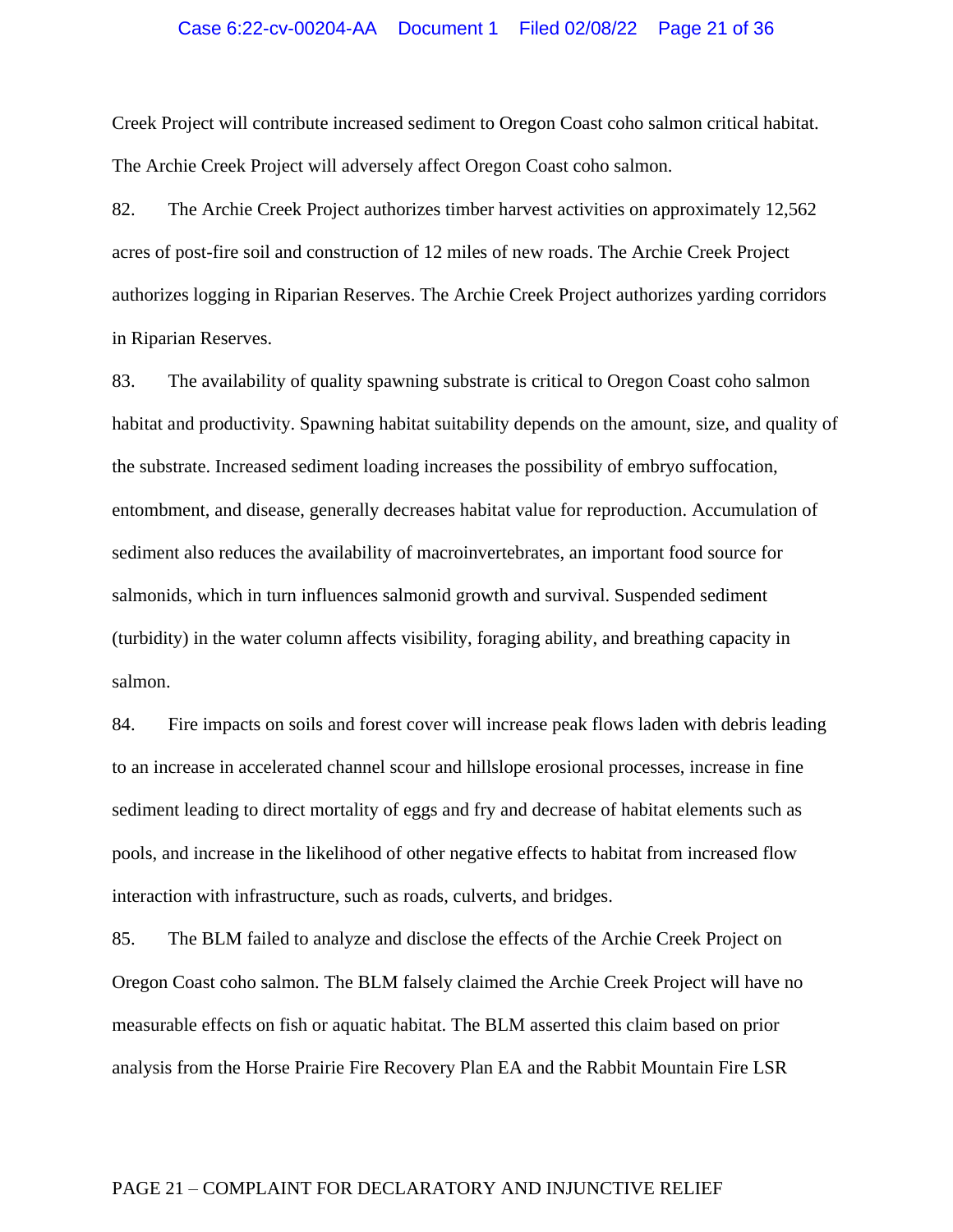#### Case 6:22-cv-00204-AA Document 1 Filed 02/08/22 Page 21 of 36

Creek Project will contribute increased sediment to Oregon Coast coho salmon critical habitat. The Archie Creek Project will adversely affect Oregon Coast coho salmon.

82. The Archie Creek Project authorizes timber harvest activities on approximately 12,562 acres of post-fire soil and construction of 12 miles of new roads. The Archie Creek Project authorizes logging in Riparian Reserves. The Archie Creek Project authorizes yarding corridors in Riparian Reserves.

83. The availability of quality spawning substrate is critical to Oregon Coast coho salmon habitat and productivity. Spawning habitat suitability depends on the amount, size, and quality of the substrate. Increased sediment loading increases the possibility of embryo suffocation, entombment, and disease, generally decreases habitat value for reproduction. Accumulation of sediment also reduces the availability of macroinvertebrates, an important food source for salmonids, which in turn influences salmonid growth and survival. Suspended sediment (turbidity) in the water column affects visibility, foraging ability, and breathing capacity in salmon.

84. Fire impacts on soils and forest cover will increase peak flows laden with debris leading to an increase in accelerated channel scour and hillslope erosional processes, increase in fine sediment leading to direct mortality of eggs and fry and decrease of habitat elements such as pools, and increase in the likelihood of other negative effects to habitat from increased flow interaction with infrastructure, such as roads, culverts, and bridges.

85. The BLM failed to analyze and disclose the effects of the Archie Creek Project on Oregon Coast coho salmon. The BLM falsely claimed the Archie Creek Project will have no measurable effects on fish or aquatic habitat. The BLM asserted this claim based on prior analysis from the Horse Prairie Fire Recovery Plan EA and the Rabbit Mountain Fire LSR

#### PAGE 21 – COMPLAINT FOR DECLARATORY AND INJUNCTIVE RELIEF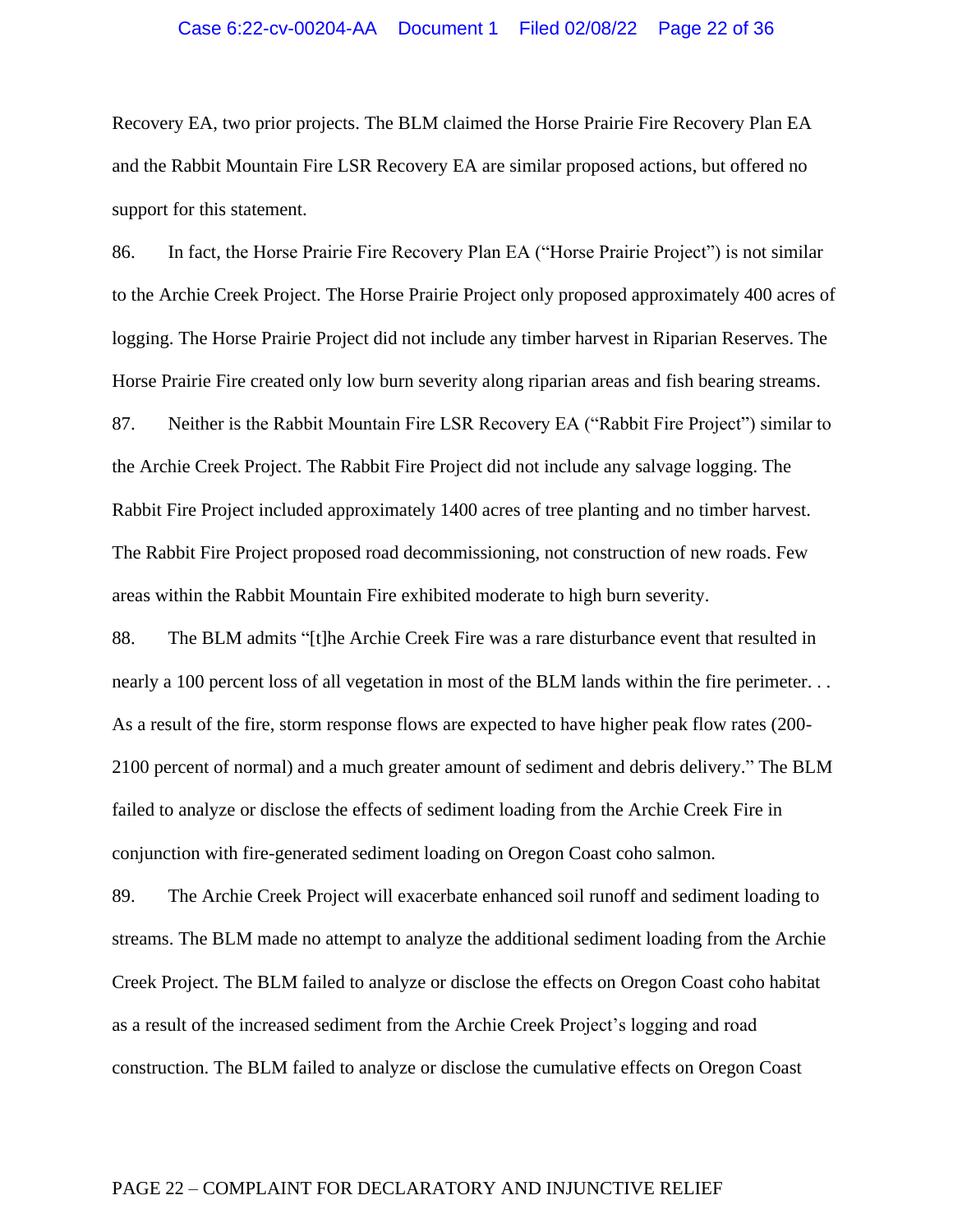### Case 6:22-cv-00204-AA Document 1 Filed 02/08/22 Page 22 of 36

Recovery EA, two prior projects. The BLM claimed the Horse Prairie Fire Recovery Plan EA and the Rabbit Mountain Fire LSR Recovery EA are similar proposed actions, but offered no support for this statement.

86. In fact, the Horse Prairie Fire Recovery Plan EA ("Horse Prairie Project") is not similar to the Archie Creek Project. The Horse Prairie Project only proposed approximately 400 acres of logging. The Horse Prairie Project did not include any timber harvest in Riparian Reserves. The Horse Prairie Fire created only low burn severity along riparian areas and fish bearing streams. 87. Neither is the Rabbit Mountain Fire LSR Recovery EA ("Rabbit Fire Project") similar to the Archie Creek Project. The Rabbit Fire Project did not include any salvage logging. The

Rabbit Fire Project included approximately 1400 acres of tree planting and no timber harvest. The Rabbit Fire Project proposed road decommissioning, not construction of new roads. Few areas within the Rabbit Mountain Fire exhibited moderate to high burn severity.

88. The BLM admits "[t]he Archie Creek Fire was a rare disturbance event that resulted in nearly a 100 percent loss of all vegetation in most of the BLM lands within the fire perimeter... As a result of the fire, storm response flows are expected to have higher peak flow rates (200- 2100 percent of normal) and a much greater amount of sediment and debris delivery." The BLM failed to analyze or disclose the effects of sediment loading from the Archie Creek Fire in conjunction with fire-generated sediment loading on Oregon Coast coho salmon.

89. The Archie Creek Project will exacerbate enhanced soil runoff and sediment loading to streams. The BLM made no attempt to analyze the additional sediment loading from the Archie Creek Project. The BLM failed to analyze or disclose the effects on Oregon Coast coho habitat as a result of the increased sediment from the Archie Creek Project's logging and road construction. The BLM failed to analyze or disclose the cumulative effects on Oregon Coast

#### PAGE 22 – COMPLAINT FOR DECLARATORY AND INJUNCTIVE RELIEF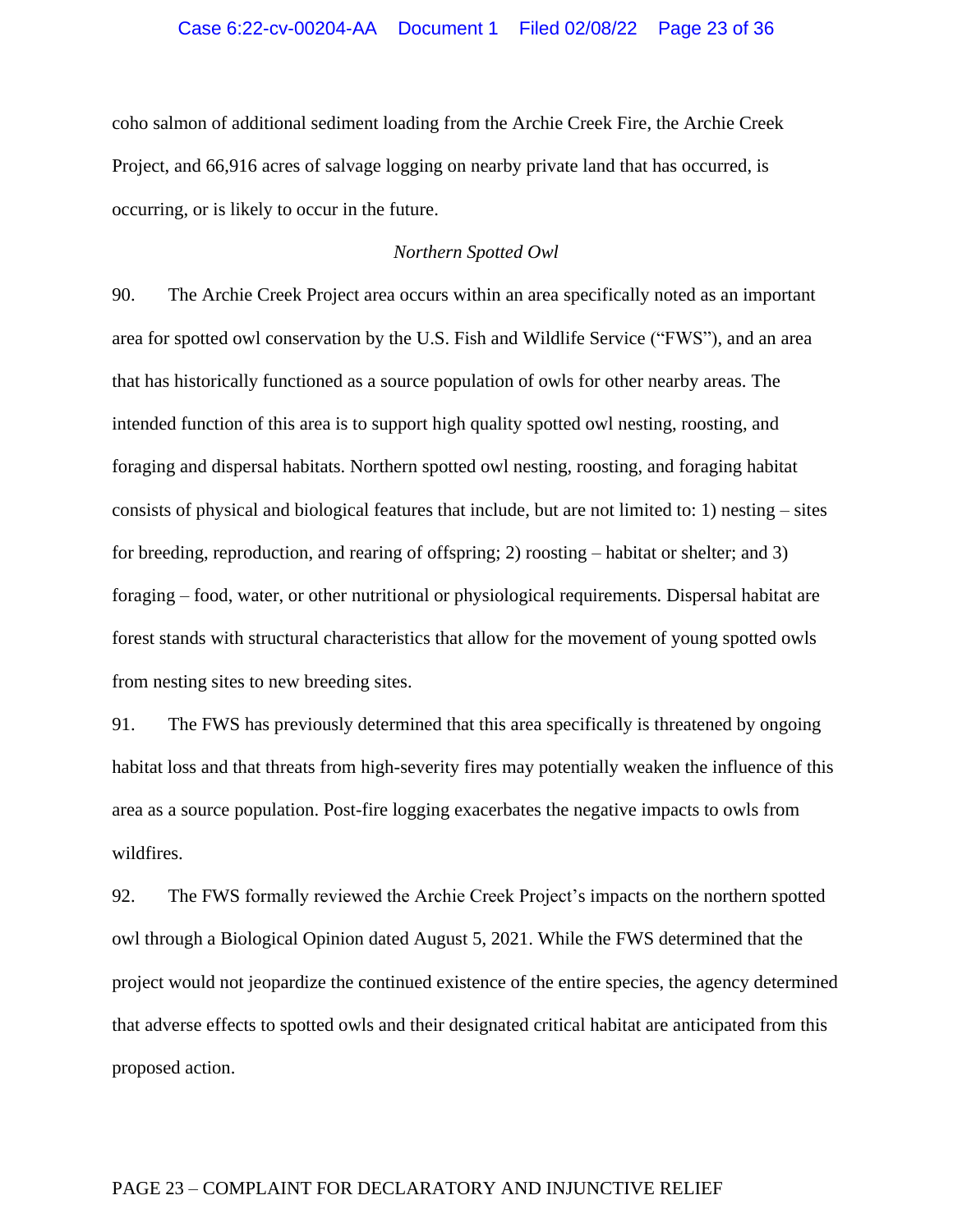#### Case 6:22-cv-00204-AA Document 1 Filed 02/08/22 Page 23 of 36

coho salmon of additional sediment loading from the Archie Creek Fire, the Archie Creek Project, and 66,916 acres of salvage logging on nearby private land that has occurred, is occurring, or is likely to occur in the future.

## *Northern Spotted Owl*

90. The Archie Creek Project area occurs within an area specifically noted as an important area for spotted owl conservation by the U.S. Fish and Wildlife Service ("FWS"), and an area that has historically functioned as a source population of owls for other nearby areas. The intended function of this area is to support high quality spotted owl nesting, roosting, and foraging and dispersal habitats. Northern spotted owl nesting, roosting, and foraging habitat consists of physical and biological features that include, but are not limited to: 1) nesting – sites for breeding, reproduction, and rearing of offspring; 2) roosting – habitat or shelter; and 3) foraging – food, water, or other nutritional or physiological requirements. Dispersal habitat are forest stands with structural characteristics that allow for the movement of young spotted owls from nesting sites to new breeding sites.

91. The FWS has previously determined that this area specifically is threatened by ongoing habitat loss and that threats from high-severity fires may potentially weaken the influence of this area as a source population. Post-fire logging exacerbates the negative impacts to owls from wildfires.

92. The FWS formally reviewed the Archie Creek Project's impacts on the northern spotted owl through a Biological Opinion dated August 5, 2021. While the FWS determined that the project would not jeopardize the continued existence of the entire species, the agency determined that adverse effects to spotted owls and their designated critical habitat are anticipated from this proposed action.

### PAGE 23 – COMPLAINT FOR DECLARATORY AND INJUNCTIVE RELIEF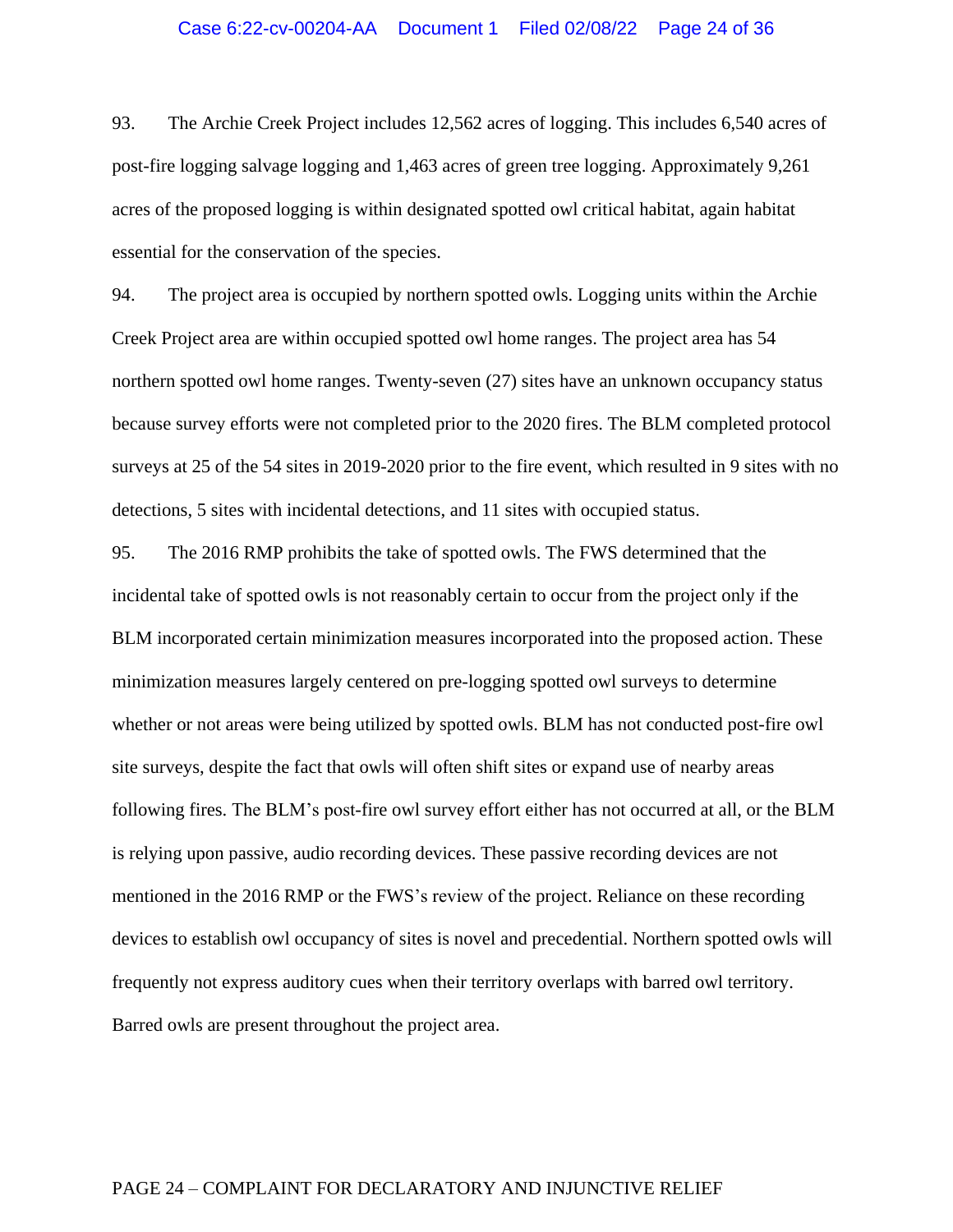#### Case 6:22-cv-00204-AA Document 1 Filed 02/08/22 Page 24 of 36

93. The Archie Creek Project includes 12,562 acres of logging. This includes 6,540 acres of post-fire logging salvage logging and 1,463 acres of green tree logging. Approximately 9,261 acres of the proposed logging is within designated spotted owl critical habitat, again habitat essential for the conservation of the species.

94. The project area is occupied by northern spotted owls. Logging units within the Archie Creek Project area are within occupied spotted owl home ranges. The project area has 54 northern spotted owl home ranges. Twenty-seven (27) sites have an unknown occupancy status because survey efforts were not completed prior to the 2020 fires. The BLM completed protocol surveys at 25 of the 54 sites in 2019-2020 prior to the fire event, which resulted in 9 sites with no detections, 5 sites with incidental detections, and 11 sites with occupied status.

95. The 2016 RMP prohibits the take of spotted owls. The FWS determined that the incidental take of spotted owls is not reasonably certain to occur from the project only if the BLM incorporated certain minimization measures incorporated into the proposed action. These minimization measures largely centered on pre-logging spotted owl surveys to determine whether or not areas were being utilized by spotted owls. BLM has not conducted post-fire owl site surveys, despite the fact that owls will often shift sites or expand use of nearby areas following fires. The BLM's post-fire owl survey effort either has not occurred at all, or the BLM is relying upon passive, audio recording devices. These passive recording devices are not mentioned in the 2016 RMP or the FWS's review of the project. Reliance on these recording devices to establish owl occupancy of sites is novel and precedential. Northern spotted owls will frequently not express auditory cues when their territory overlaps with barred owl territory. Barred owls are present throughout the project area.

### PAGE 24 – COMPLAINT FOR DECLARATORY AND INJUNCTIVE RELIEF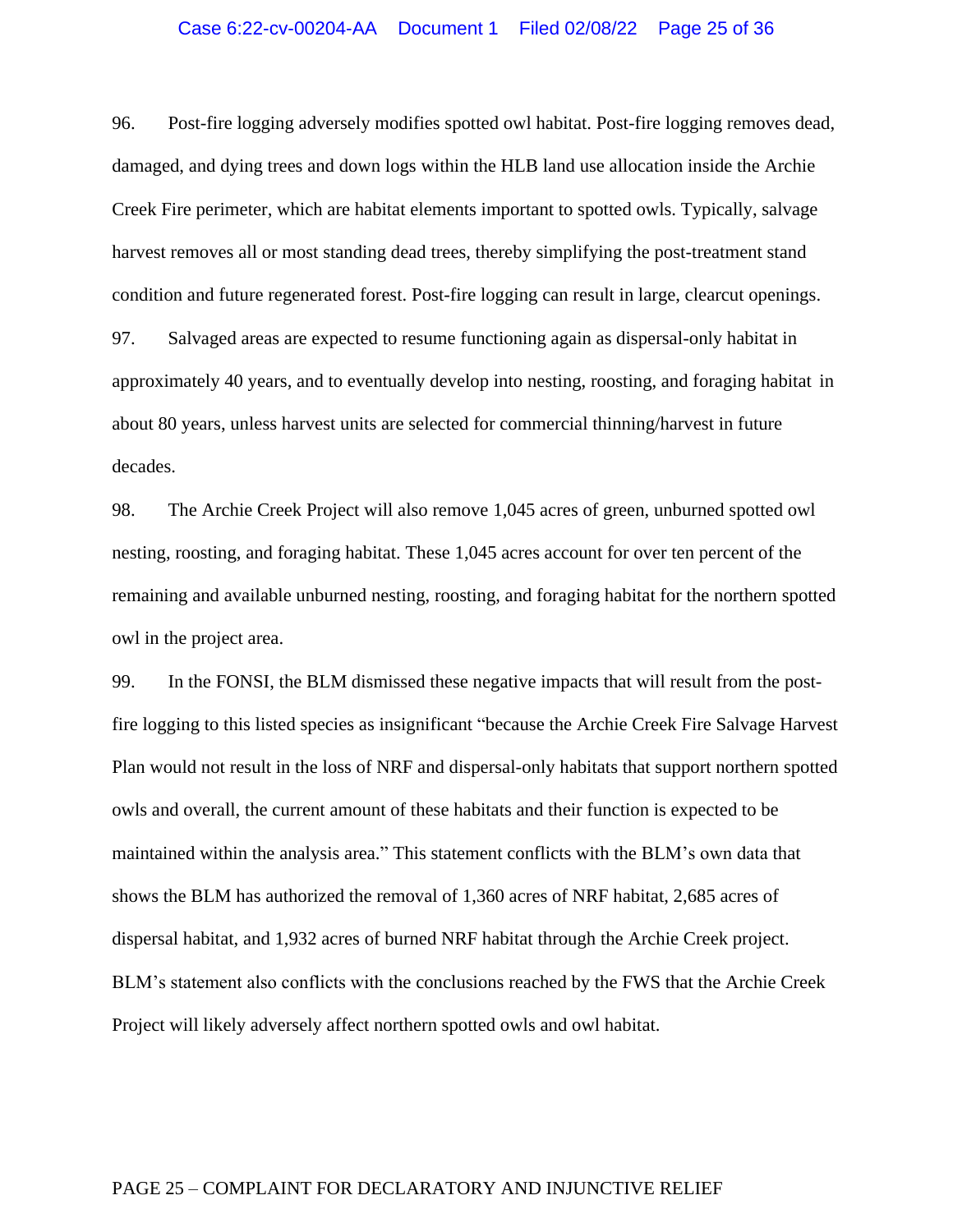### Case 6:22-cv-00204-AA Document 1 Filed 02/08/22 Page 25 of 36

96. Post-fire logging adversely modifies spotted owl habitat. Post-fire logging removes dead, damaged, and dying trees and down logs within the HLB land use allocation inside the Archie Creek Fire perimeter, which are habitat elements important to spotted owls. Typically, salvage harvest removes all or most standing dead trees, thereby simplifying the post-treatment stand condition and future regenerated forest. Post-fire logging can result in large, clearcut openings.

97. Salvaged areas are expected to resume functioning again as dispersal-only habitat in approximately 40 years, and to eventually develop into nesting, roosting, and foraging habitat in about 80 years, unless harvest units are selected for commercial thinning/harvest in future decades.

98. The Archie Creek Project will also remove 1,045 acres of green, unburned spotted owl nesting, roosting, and foraging habitat. These 1,045 acres account for over ten percent of the remaining and available unburned nesting, roosting, and foraging habitat for the northern spotted owl in the project area.

99. In the FONSI, the BLM dismissed these negative impacts that will result from the postfire logging to this listed species as insignificant "because the Archie Creek Fire Salvage Harvest Plan would not result in the loss of NRF and dispersal-only habitats that support northern spotted owls and overall, the current amount of these habitats and their function is expected to be maintained within the analysis area." This statement conflicts with the BLM's own data that shows the BLM has authorized the removal of 1,360 acres of NRF habitat, 2,685 acres of dispersal habitat, and 1,932 acres of burned NRF habitat through the Archie Creek project. BLM's statement also conflicts with the conclusions reached by the FWS that the Archie Creek Project will likely adversely affect northern spotted owls and owl habitat.

### PAGE 25 – COMPLAINT FOR DECLARATORY AND INJUNCTIVE RELIEF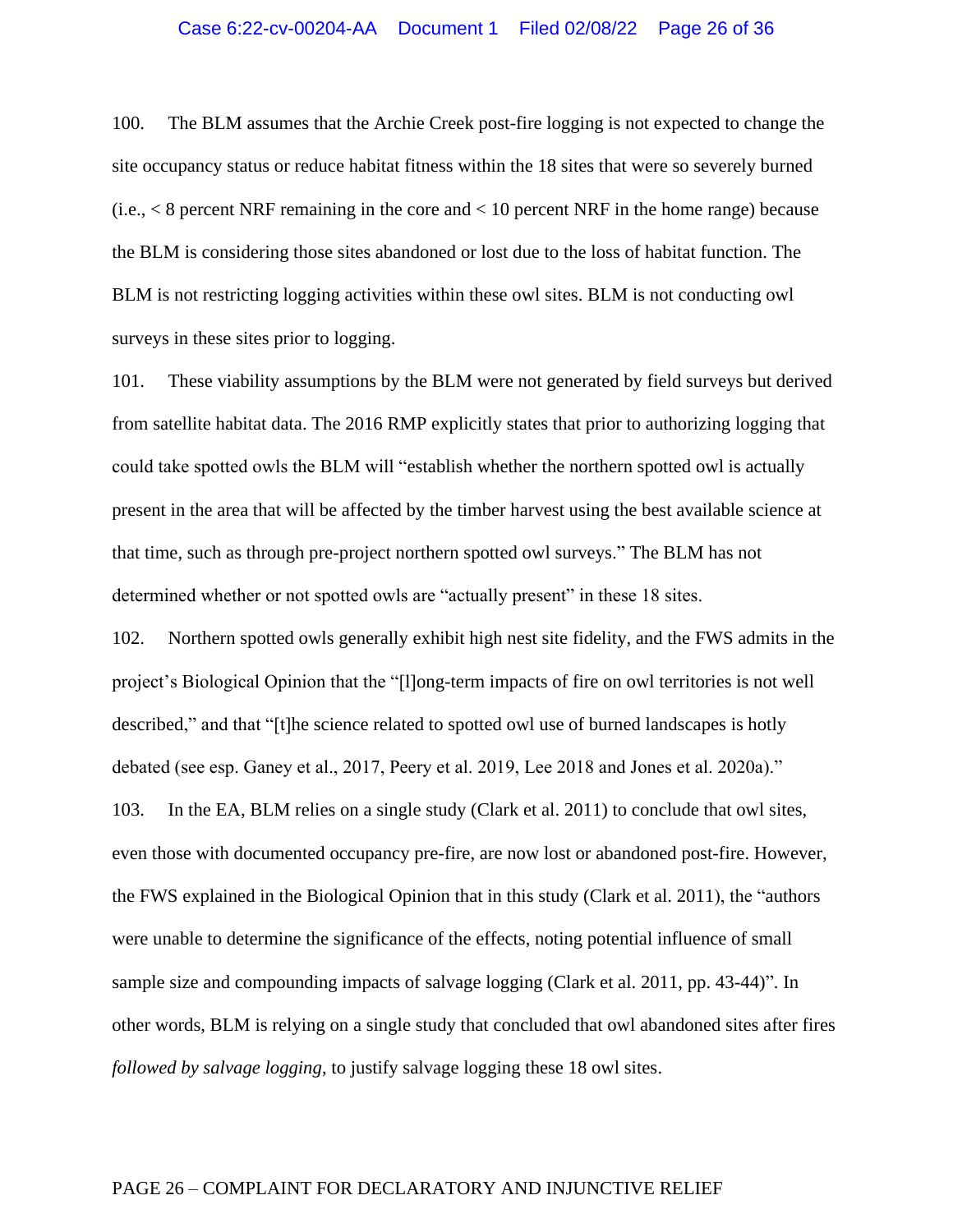### Case 6:22-cv-00204-AA Document 1 Filed 02/08/22 Page 26 of 36

100. The BLM assumes that the Archie Creek post-fire logging is not expected to change the site occupancy status or reduce habitat fitness within the 18 sites that were so severely burned  $(i.e., < 8$  percent NRF remaining in the core and  $< 10$  percent NRF in the home range) because the BLM is considering those sites abandoned or lost due to the loss of habitat function. The BLM is not restricting logging activities within these owl sites. BLM is not conducting owl surveys in these sites prior to logging.

101. These viability assumptions by the BLM were not generated by field surveys but derived from satellite habitat data. The 2016 RMP explicitly states that prior to authorizing logging that could take spotted owls the BLM will "establish whether the northern spotted owl is actually present in the area that will be affected by the timber harvest using the best available science at that time, such as through pre-project northern spotted owl surveys." The BLM has not determined whether or not spotted owls are "actually present" in these 18 sites.

102. Northern spotted owls generally exhibit high nest site fidelity, and the FWS admits in the project's Biological Opinion that the "[l]ong-term impacts of fire on owl territories is not well described," and that "[t]he science related to spotted owl use of burned landscapes is hotly debated (see esp. Ganey et al., 2017, Peery et al. 2019, Lee 2018 and Jones et al. 2020a)." 103. In the EA, BLM relies on a single study (Clark et al. 2011) to conclude that owl sites, even those with documented occupancy pre-fire, are now lost or abandoned post-fire. However, the FWS explained in the Biological Opinion that in this study (Clark et al. 2011), the "authors were unable to determine the significance of the effects, noting potential influence of small sample size and compounding impacts of salvage logging (Clark et al. 2011, pp. 43-44)". In other words, BLM is relying on a single study that concluded that owl abandoned sites after fires *followed by salvage logging*, to justify salvage logging these 18 owl sites.

#### PAGE 26 – COMPLAINT FOR DECLARATORY AND INJUNCTIVE RELIEF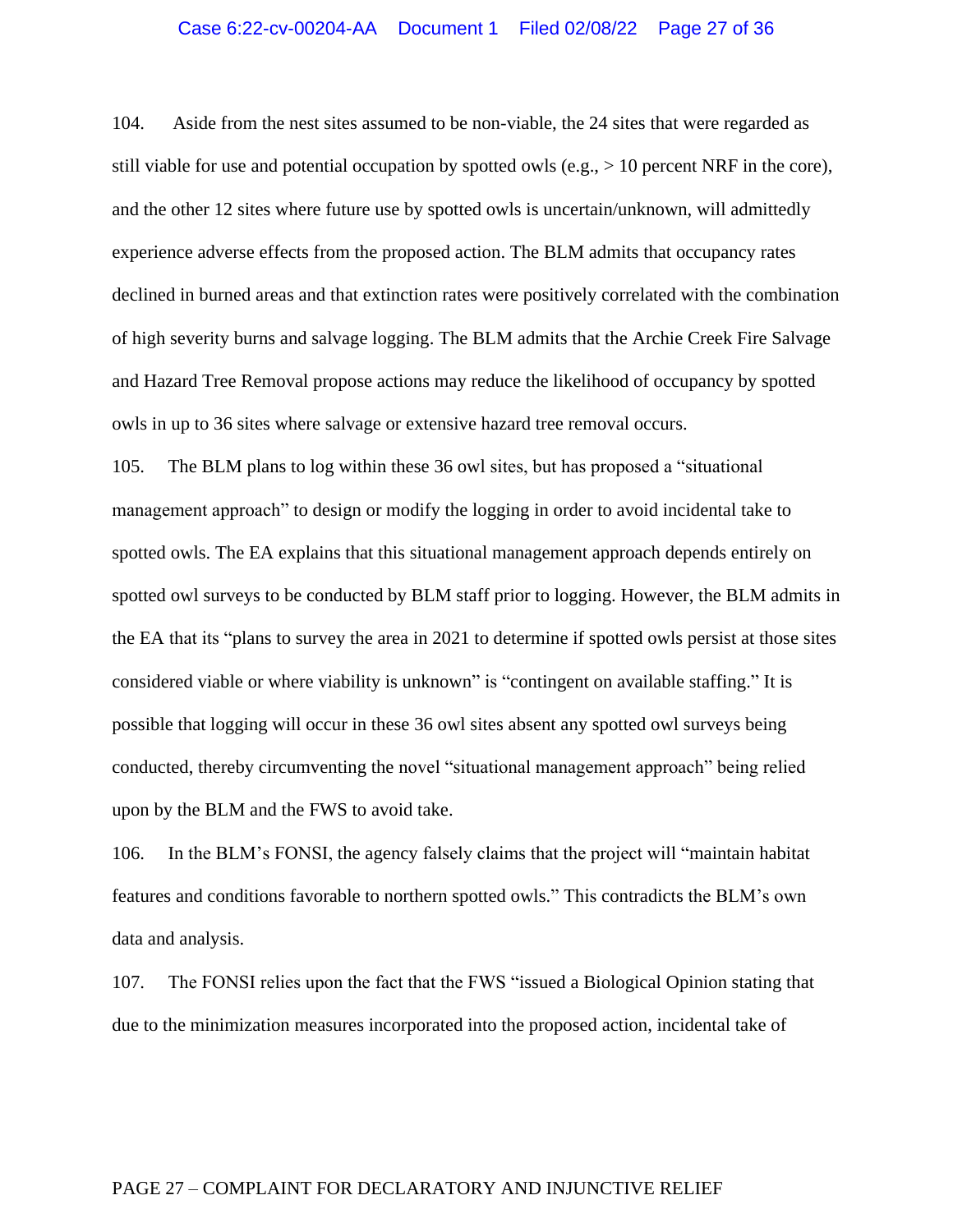### Case 6:22-cv-00204-AA Document 1 Filed 02/08/22 Page 27 of 36

104. Aside from the nest sites assumed to be non-viable, the 24 sites that were regarded as still viable for use and potential occupation by spotted owls (e.g.,  $> 10$  percent NRF in the core), and the other 12 sites where future use by spotted owls is uncertain/unknown, will admittedly experience adverse effects from the proposed action. The BLM admits that occupancy rates declined in burned areas and that extinction rates were positively correlated with the combination of high severity burns and salvage logging. The BLM admits that the Archie Creek Fire Salvage and Hazard Tree Removal propose actions may reduce the likelihood of occupancy by spotted owls in up to 36 sites where salvage or extensive hazard tree removal occurs.

105. The BLM plans to log within these 36 owl sites, but has proposed a "situational management approach" to design or modify the logging in order to avoid incidental take to spotted owls. The EA explains that this situational management approach depends entirely on spotted owl surveys to be conducted by BLM staff prior to logging. However, the BLM admits in the EA that its "plans to survey the area in 2021 to determine if spotted owls persist at those sites considered viable or where viability is unknown" is "contingent on available staffing." It is possible that logging will occur in these 36 owl sites absent any spotted owl surveys being conducted, thereby circumventing the novel "situational management approach" being relied upon by the BLM and the FWS to avoid take.

106. In the BLM's FONSI, the agency falsely claims that the project will "maintain habitat features and conditions favorable to northern spotted owls." This contradicts the BLM's own data and analysis.

107. The FONSI relies upon the fact that the FWS "issued a Biological Opinion stating that due to the minimization measures incorporated into the proposed action, incidental take of

#### PAGE 27 – COMPLAINT FOR DECLARATORY AND INJUNCTIVE RELIEF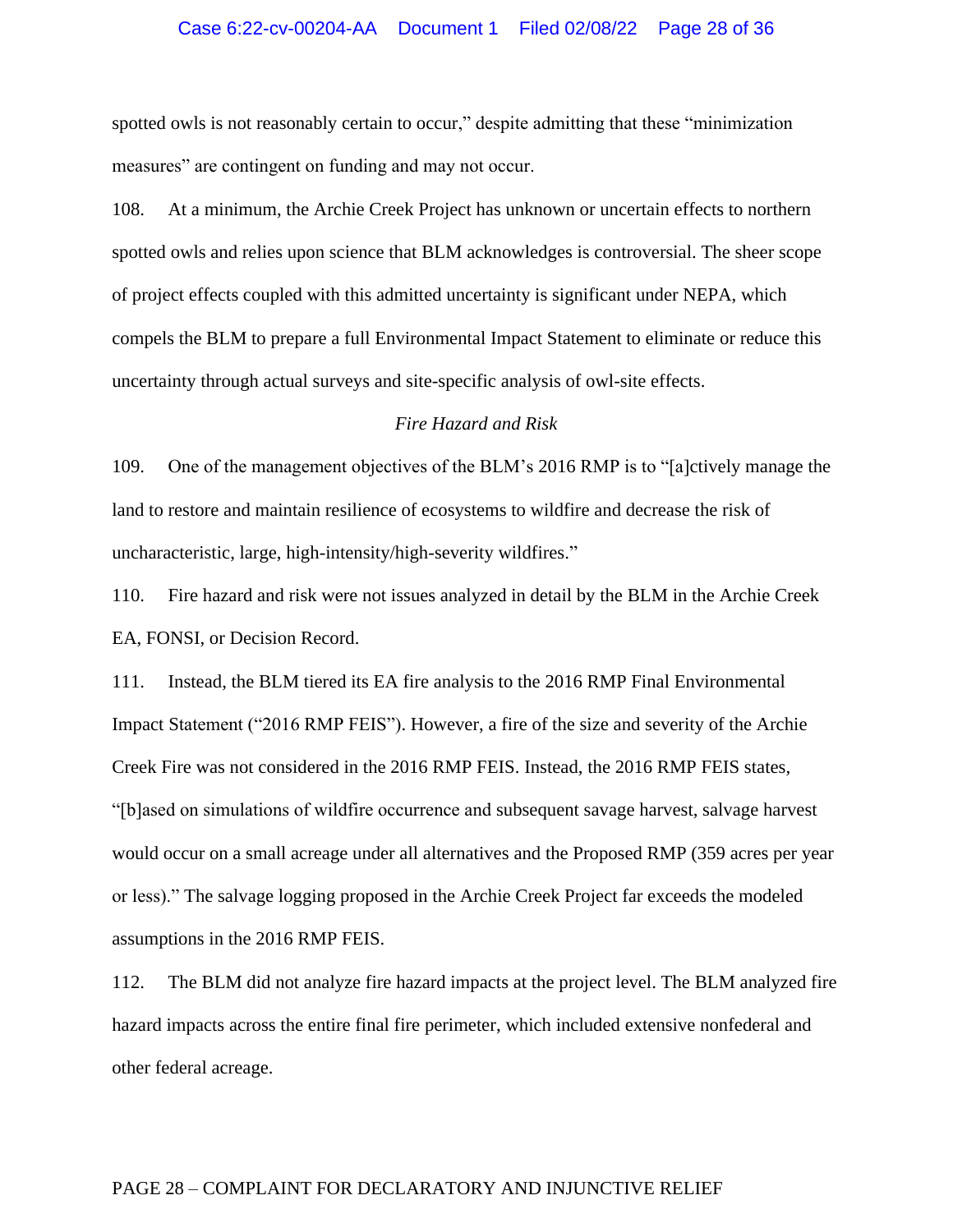### Case 6:22-cv-00204-AA Document 1 Filed 02/08/22 Page 28 of 36

spotted owls is not reasonably certain to occur," despite admitting that these "minimization measures" are contingent on funding and may not occur.

108. At a minimum, the Archie Creek Project has unknown or uncertain effects to northern spotted owls and relies upon science that BLM acknowledges is controversial. The sheer scope of project effects coupled with this admitted uncertainty is significant under NEPA, which compels the BLM to prepare a full Environmental Impact Statement to eliminate or reduce this uncertainty through actual surveys and site-specific analysis of owl-site effects.

### *Fire Hazard and Risk*

109. One of the management objectives of the BLM's 2016 RMP is to "[a]ctively manage the land to restore and maintain resilience of ecosystems to wildfire and decrease the risk of uncharacteristic, large, high-intensity/high-severity wildfires."

110. Fire hazard and risk were not issues analyzed in detail by the BLM in the Archie Creek EA, FONSI, or Decision Record.

111. Instead, the BLM tiered its EA fire analysis to the 2016 RMP Final Environmental Impact Statement ("2016 RMP FEIS"). However, a fire of the size and severity of the Archie Creek Fire was not considered in the 2016 RMP FEIS. Instead, the 2016 RMP FEIS states, "[b]ased on simulations of wildfire occurrence and subsequent savage harvest, salvage harvest would occur on a small acreage under all alternatives and the Proposed RMP (359 acres per year or less)." The salvage logging proposed in the Archie Creek Project far exceeds the modeled assumptions in the 2016 RMP FEIS.

112. The BLM did not analyze fire hazard impacts at the project level. The BLM analyzed fire hazard impacts across the entire final fire perimeter, which included extensive nonfederal and other federal acreage.

### PAGE 28 – COMPLAINT FOR DECLARATORY AND INJUNCTIVE RELIEF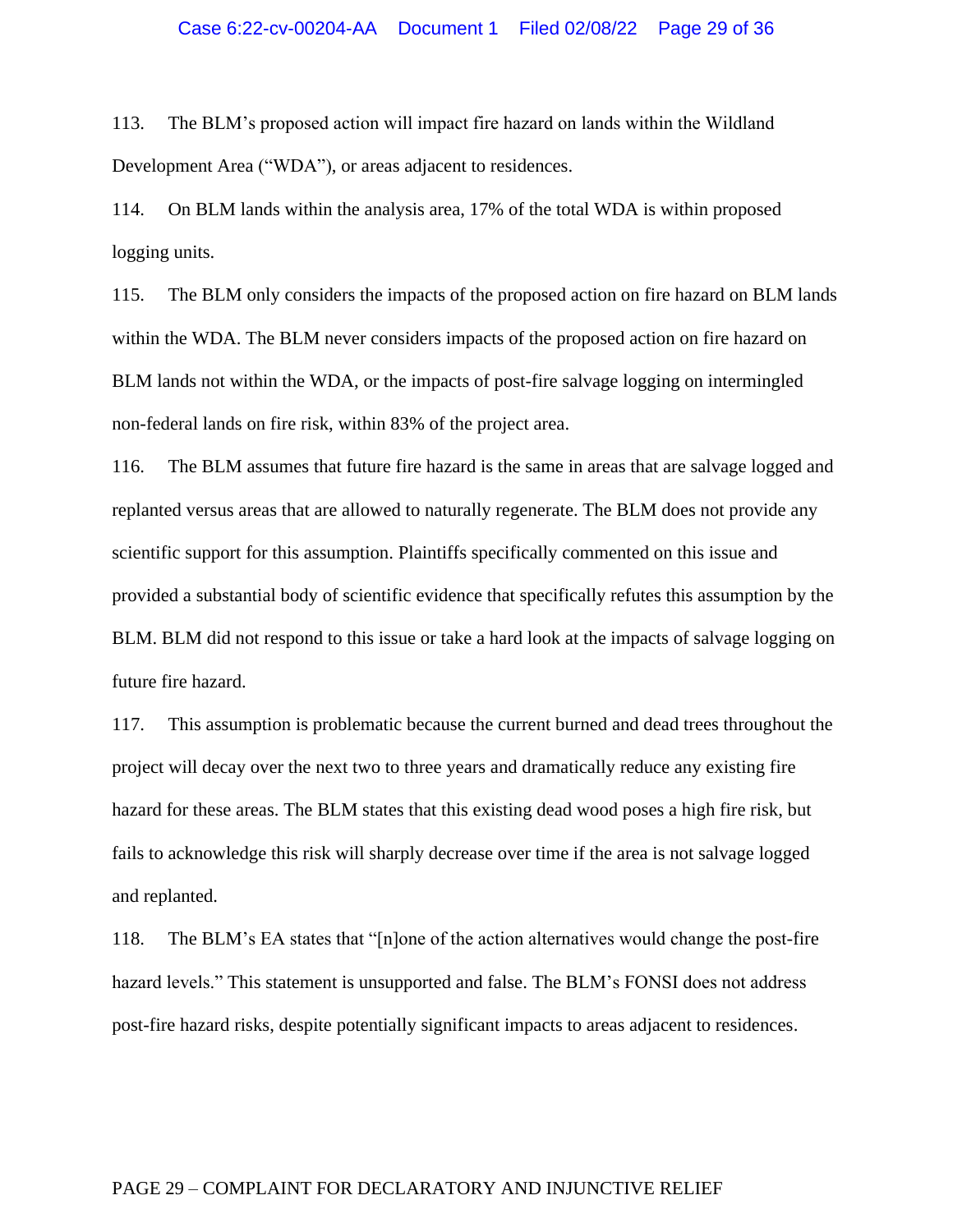### Case 6:22-cv-00204-AA Document 1 Filed 02/08/22 Page 29 of 36

113. The BLM's proposed action will impact fire hazard on lands within the Wildland Development Area ("WDA"), or areas adjacent to residences.

114. On BLM lands within the analysis area, 17% of the total WDA is within proposed logging units.

115. The BLM only considers the impacts of the proposed action on fire hazard on BLM lands within the WDA. The BLM never considers impacts of the proposed action on fire hazard on BLM lands not within the WDA, or the impacts of post-fire salvage logging on intermingled non-federal lands on fire risk, within 83% of the project area.

116. The BLM assumes that future fire hazard is the same in areas that are salvage logged and replanted versus areas that are allowed to naturally regenerate. The BLM does not provide any scientific support for this assumption. Plaintiffs specifically commented on this issue and provided a substantial body of scientific evidence that specifically refutes this assumption by the BLM. BLM did not respond to this issue or take a hard look at the impacts of salvage logging on future fire hazard.

117. This assumption is problematic because the current burned and dead trees throughout the project will decay over the next two to three years and dramatically reduce any existing fire hazard for these areas. The BLM states that this existing dead wood poses a high fire risk, but fails to acknowledge this risk will sharply decrease over time if the area is not salvage logged and replanted.

118. The BLM's EA states that "[n]one of the action alternatives would change the post-fire hazard levels." This statement is unsupported and false. The BLM's FONSI does not address post-fire hazard risks, despite potentially significant impacts to areas adjacent to residences.

### PAGE 29 – COMPLAINT FOR DECLARATORY AND INJUNCTIVE RELIEF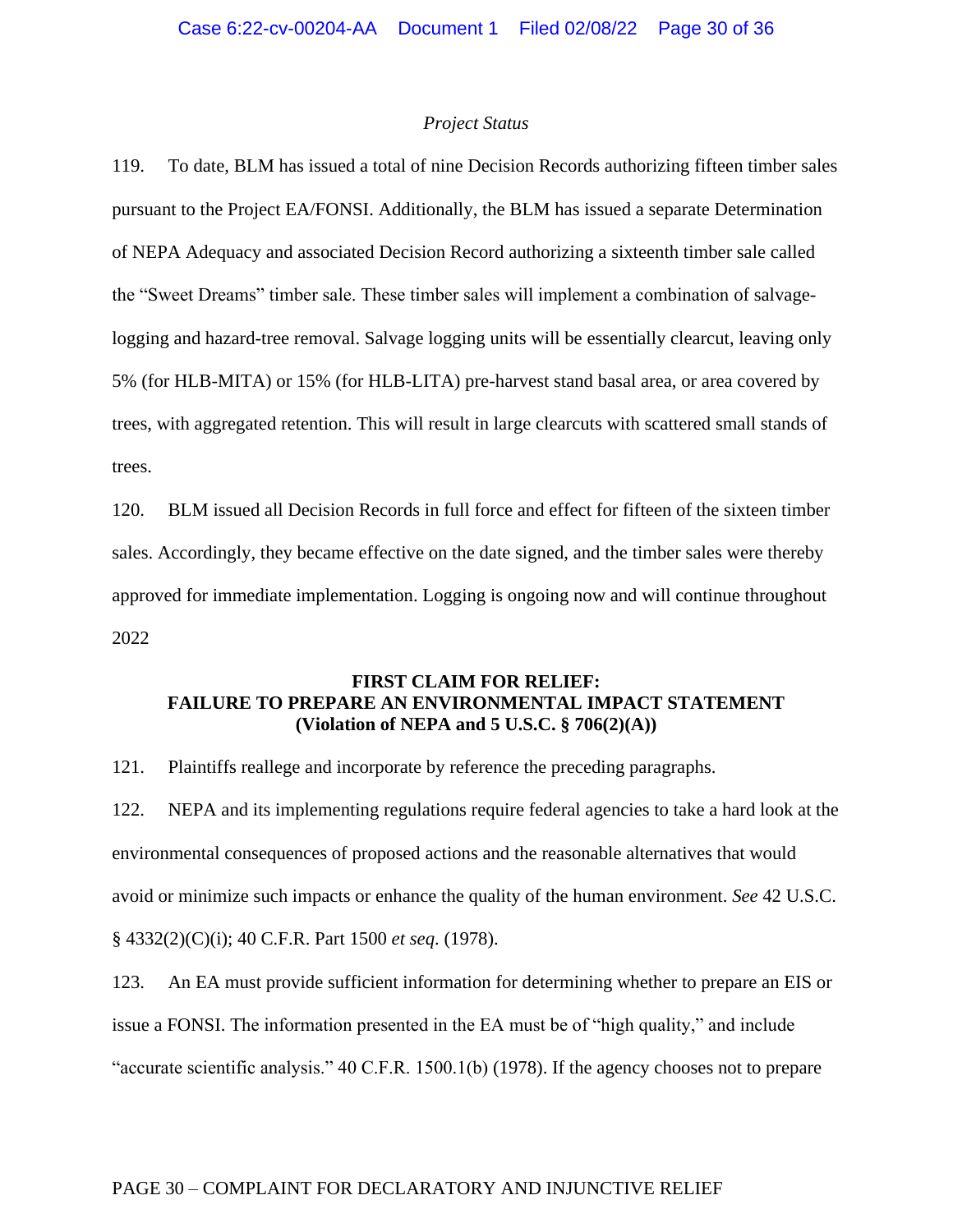#### *Project Status*

119. To date, BLM has issued a total of nine Decision Records authorizing fifteen timber sales pursuant to the Project EA/FONSI. Additionally, the BLM has issued a separate Determination of NEPA Adequacy and associated Decision Record authorizing a sixteenth timber sale called the "Sweet Dreams" timber sale. These timber sales will implement a combination of salvagelogging and hazard-tree removal. Salvage logging units will be essentially clearcut, leaving only 5% (for HLB-MITA) or 15% (for HLB-LITA) pre-harvest stand basal area, or area covered by trees, with aggregated retention. This will result in large clearcuts with scattered small stands of trees.

120. BLM issued all Decision Records in full force and effect for fifteen of the sixteen timber sales. Accordingly, they became effective on the date signed, and the timber sales were thereby approved for immediate implementation. Logging is ongoing now and will continue throughout 2022

## **FIRST CLAIM FOR RELIEF: FAILURE TO PREPARE AN ENVIRONMENTAL IMPACT STATEMENT (Violation of NEPA and 5 U.S.C. § 706(2)(A))**

121. Plaintiffs reallege and incorporate by reference the preceding paragraphs.

122. NEPA and its implementing regulations require federal agencies to take a hard look at the environmental consequences of proposed actions and the reasonable alternatives that would avoid or minimize such impacts or enhance the quality of the human environment. *See* 42 U.S.C. § 4332(2)(C)(i); 40 C.F.R. Part 1500 *et seq*. (1978).

123. An EA must provide sufficient information for determining whether to prepare an EIS or issue a FONSI. The information presented in the EA must be of "high quality," and include "accurate scientific analysis." 40 C.F.R. 1500.1(b) (1978). If the agency chooses not to prepare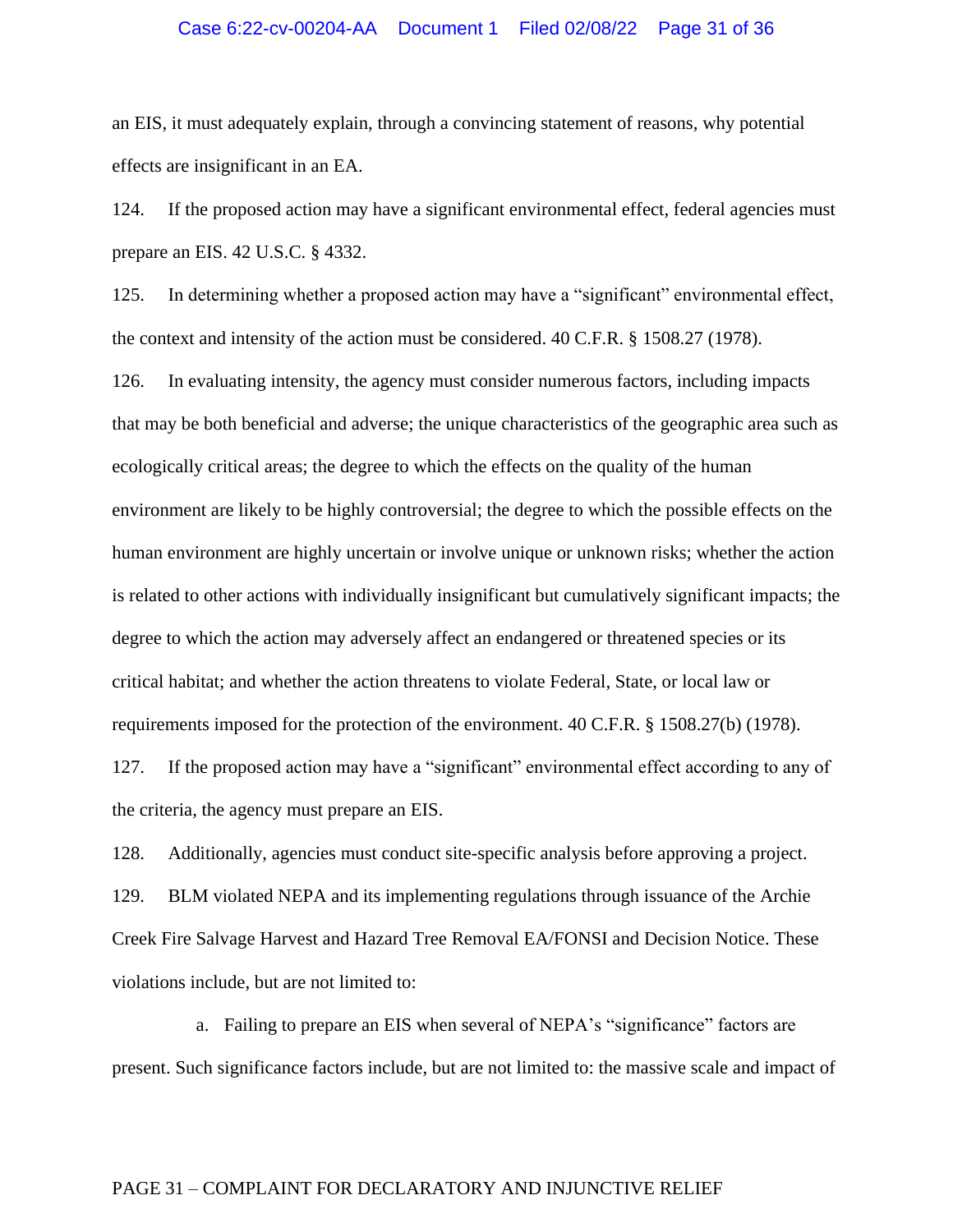### Case 6:22-cv-00204-AA Document 1 Filed 02/08/22 Page 31 of 36

an EIS, it must adequately explain, through a convincing statement of reasons, why potential effects are insignificant in an EA.

124. If the proposed action may have a significant environmental effect, federal agencies must prepare an EIS. 42 U.S.C. § 4332.

125. In determining whether a proposed action may have a "significant" environmental effect, the context and intensity of the action must be considered. 40 C.F.R. § 1508.27 (1978).

126. In evaluating intensity, the agency must consider numerous factors, including impacts that may be both beneficial and adverse; the unique characteristics of the geographic area such as ecologically critical areas; the degree to which the effects on the quality of the human environment are likely to be highly controversial; the degree to which the possible effects on the human environment are highly uncertain or involve unique or unknown risks; whether the action is related to other actions with individually insignificant but cumulatively significant impacts; the degree to which the action may adversely affect an endangered or threatened species or its critical habitat; and whether the action threatens to violate Federal, State, or local law or requirements imposed for the protection of the environment. 40 C.F.R. § 1508.27(b) (1978).

127. If the proposed action may have a "significant" environmental effect according to any of the criteria, the agency must prepare an EIS.

128. Additionally, agencies must conduct site-specific analysis before approving a project. 129. BLM violated NEPA and its implementing regulations through issuance of the Archie Creek Fire Salvage Harvest and Hazard Tree Removal EA/FONSI and Decision Notice. These violations include, but are not limited to:

a. Failing to prepare an EIS when several of NEPA's "significance" factors are present. Such significance factors include, but are not limited to: the massive scale and impact of

## PAGE 31 – COMPLAINT FOR DECLARATORY AND INJUNCTIVE RELIEF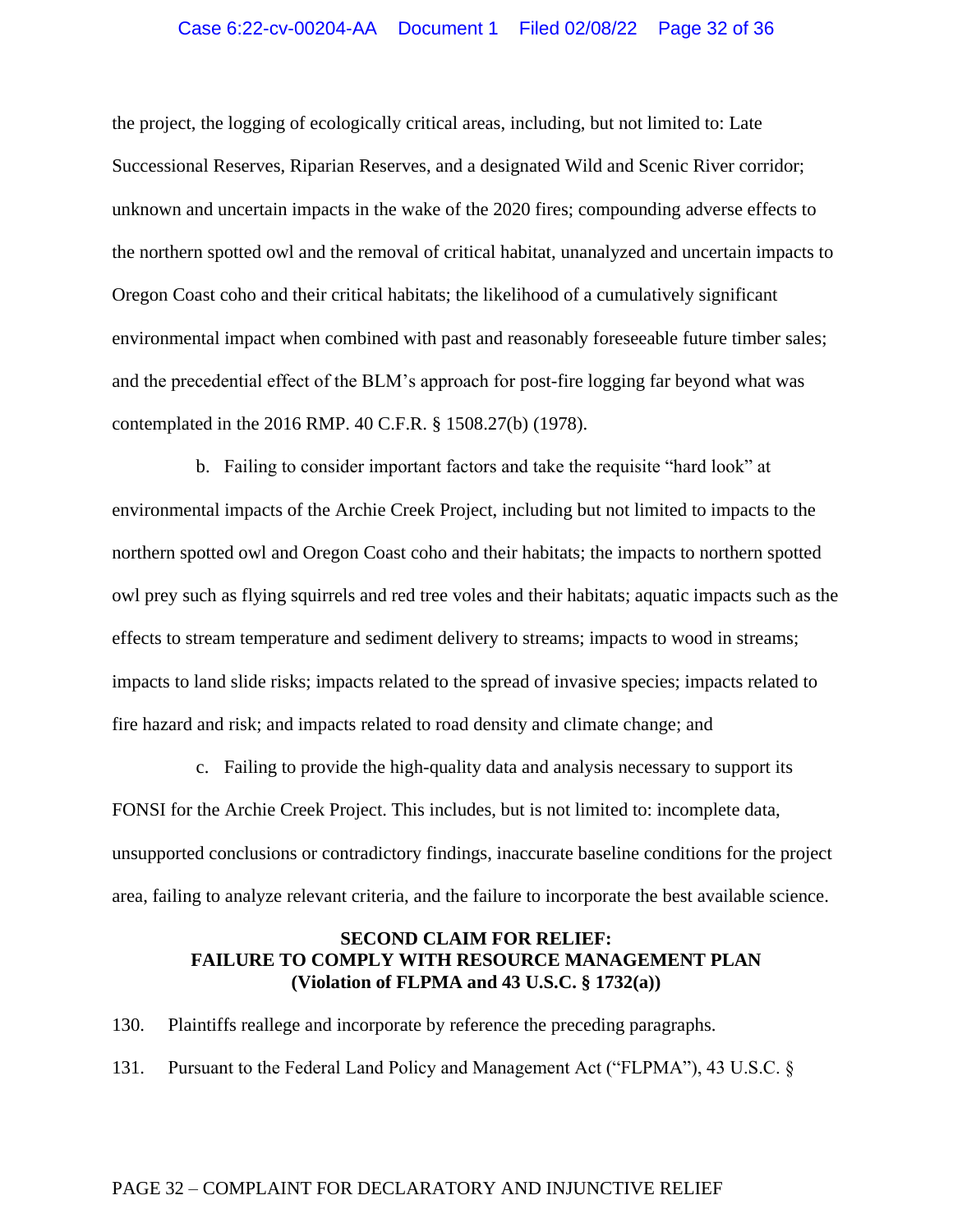### Case 6:22-cv-00204-AA Document 1 Filed 02/08/22 Page 32 of 36

the project, the logging of ecologically critical areas, including, but not limited to: Late Successional Reserves, Riparian Reserves, and a designated Wild and Scenic River corridor; unknown and uncertain impacts in the wake of the 2020 fires; compounding adverse effects to the northern spotted owl and the removal of critical habitat, unanalyzed and uncertain impacts to Oregon Coast coho and their critical habitats; the likelihood of a cumulatively significant environmental impact when combined with past and reasonably foreseeable future timber sales; and the precedential effect of the BLM's approach for post-fire logging far beyond what was contemplated in the 2016 RMP. 40 C.F.R. § 1508.27(b) (1978).

b. Failing to consider important factors and take the requisite "hard look" at environmental impacts of the Archie Creek Project, including but not limited to impacts to the northern spotted owl and Oregon Coast coho and their habitats; the impacts to northern spotted owl prey such as flying squirrels and red tree voles and their habitats; aquatic impacts such as the effects to stream temperature and sediment delivery to streams; impacts to wood in streams; impacts to land slide risks; impacts related to the spread of invasive species; impacts related to fire hazard and risk; and impacts related to road density and climate change; and

c. Failing to provide the high-quality data and analysis necessary to support its FONSI for the Archie Creek Project. This includes, but is not limited to: incomplete data, unsupported conclusions or contradictory findings, inaccurate baseline conditions for the project area, failing to analyze relevant criteria, and the failure to incorporate the best available science.

## **SECOND CLAIM FOR RELIEF: FAILURE TO COMPLY WITH RESOURCE MANAGEMENT PLAN (Violation of FLPMA and 43 U.S.C. § 1732(a))**

130. Plaintiffs reallege and incorporate by reference the preceding paragraphs.

131. Pursuant to the Federal Land Policy and Management Act ("FLPMA"), 43 U.S.C. §

### PAGE 32 – COMPLAINT FOR DECLARATORY AND INJUNCTIVE RELIEF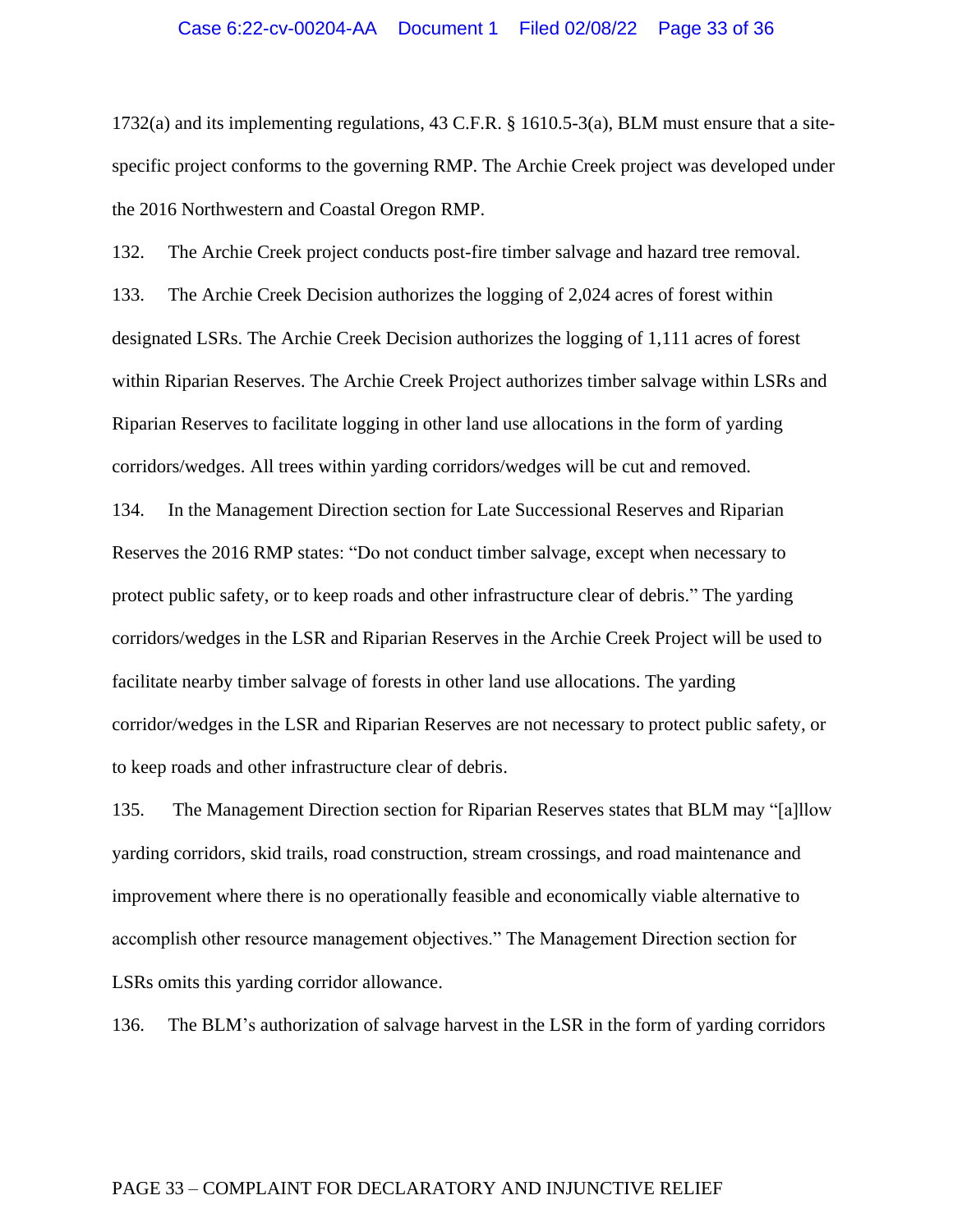#### Case 6:22-cv-00204-AA Document 1 Filed 02/08/22 Page 33 of 36

1732(a) and its implementing regulations, 43 C.F.R. § 1610.5-3(a), BLM must ensure that a sitespecific project conforms to the governing RMP. The Archie Creek project was developed under the 2016 Northwestern and Coastal Oregon RMP.

132. The Archie Creek project conducts post-fire timber salvage and hazard tree removal.

133. The Archie Creek Decision authorizes the logging of 2,024 acres of forest within designated LSRs. The Archie Creek Decision authorizes the logging of 1,111 acres of forest within Riparian Reserves. The Archie Creek Project authorizes timber salvage within LSRs and Riparian Reserves to facilitate logging in other land use allocations in the form of yarding corridors/wedges. All trees within yarding corridors/wedges will be cut and removed.

134. In the Management Direction section for Late Successional Reserves and Riparian Reserves the 2016 RMP states: "Do not conduct timber salvage, except when necessary to protect public safety, or to keep roads and other infrastructure clear of debris." The yarding corridors/wedges in the LSR and Riparian Reserves in the Archie Creek Project will be used to facilitate nearby timber salvage of forests in other land use allocations. The yarding corridor/wedges in the LSR and Riparian Reserves are not necessary to protect public safety, or to keep roads and other infrastructure clear of debris.

135. The Management Direction section for Riparian Reserves states that BLM may "[a]llow yarding corridors, skid trails, road construction, stream crossings, and road maintenance and improvement where there is no operationally feasible and economically viable alternative to accomplish other resource management objectives." The Management Direction section for LSRs omits this yarding corridor allowance.

136. The BLM's authorization of salvage harvest in the LSR in the form of yarding corridors

### PAGE 33 – COMPLAINT FOR DECLARATORY AND INJUNCTIVE RELIEF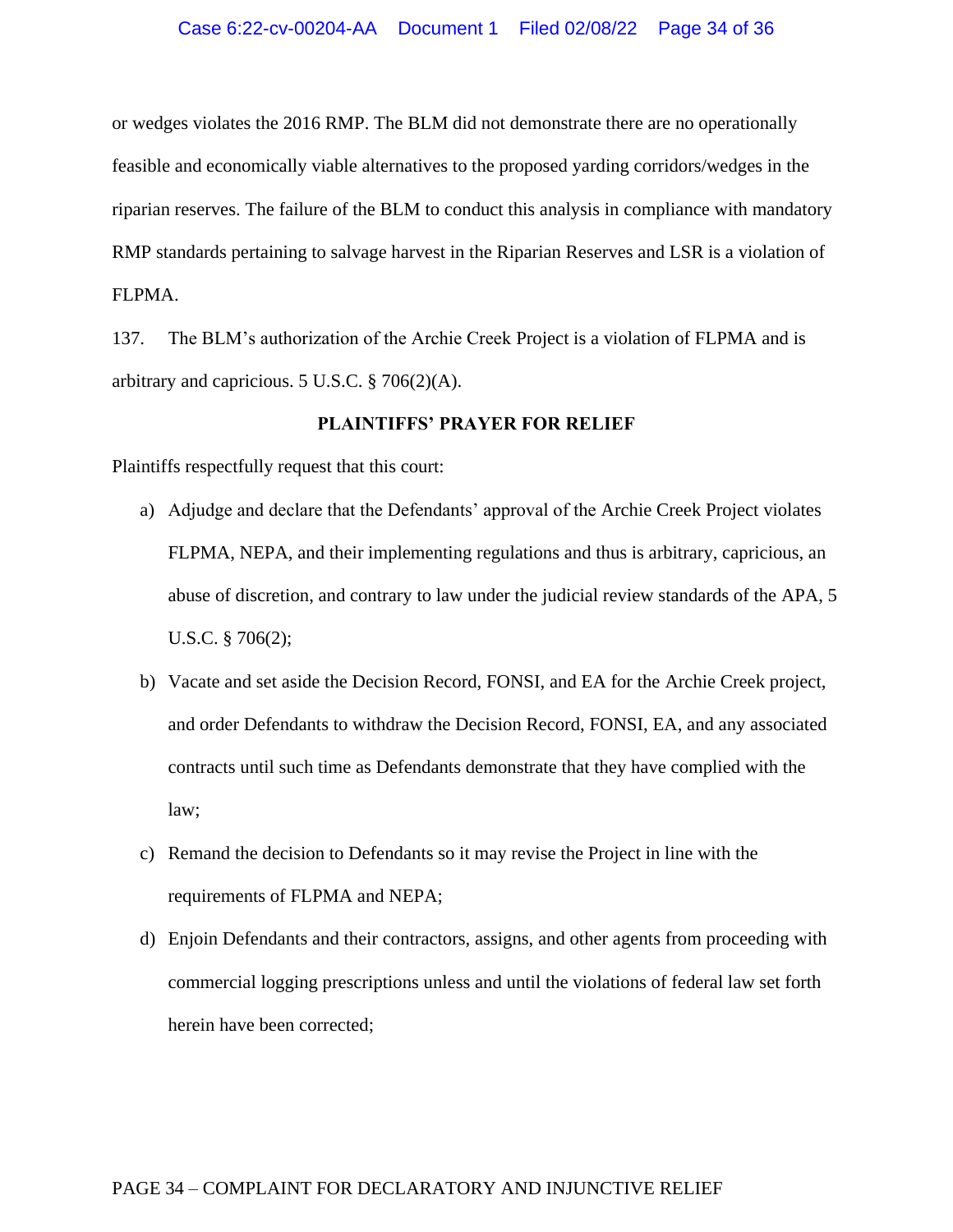or wedges violates the 2016 RMP. The BLM did not demonstrate there are no operationally feasible and economically viable alternatives to the proposed yarding corridors/wedges in the riparian reserves. The failure of the BLM to conduct this analysis in compliance with mandatory RMP standards pertaining to salvage harvest in the Riparian Reserves and LSR is a violation of FLPMA.

137. The BLM's authorization of the Archie Creek Project is a violation of FLPMA and is arbitrary and capricious. 5 U.S.C. § 706(2)(A).

## **PLAINTIFFS' PRAYER FOR RELIEF**

Plaintiffs respectfully request that this court:

- a) Adjudge and declare that the Defendants' approval of the Archie Creek Project violates FLPMA, NEPA, and their implementing regulations and thus is arbitrary, capricious, an abuse of discretion, and contrary to law under the judicial review standards of the APA, 5 U.S.C. § 706(2);
- b) Vacate and set aside the Decision Record, FONSI, and EA for the Archie Creek project, and order Defendants to withdraw the Decision Record, FONSI, EA, and any associated contracts until such time as Defendants demonstrate that they have complied with the law;
- c) Remand the decision to Defendants so it may revise the Project in line with the requirements of FLPMA and NEPA;
- d) Enjoin Defendants and their contractors, assigns, and other agents from proceeding with commercial logging prescriptions unless and until the violations of federal law set forth herein have been corrected;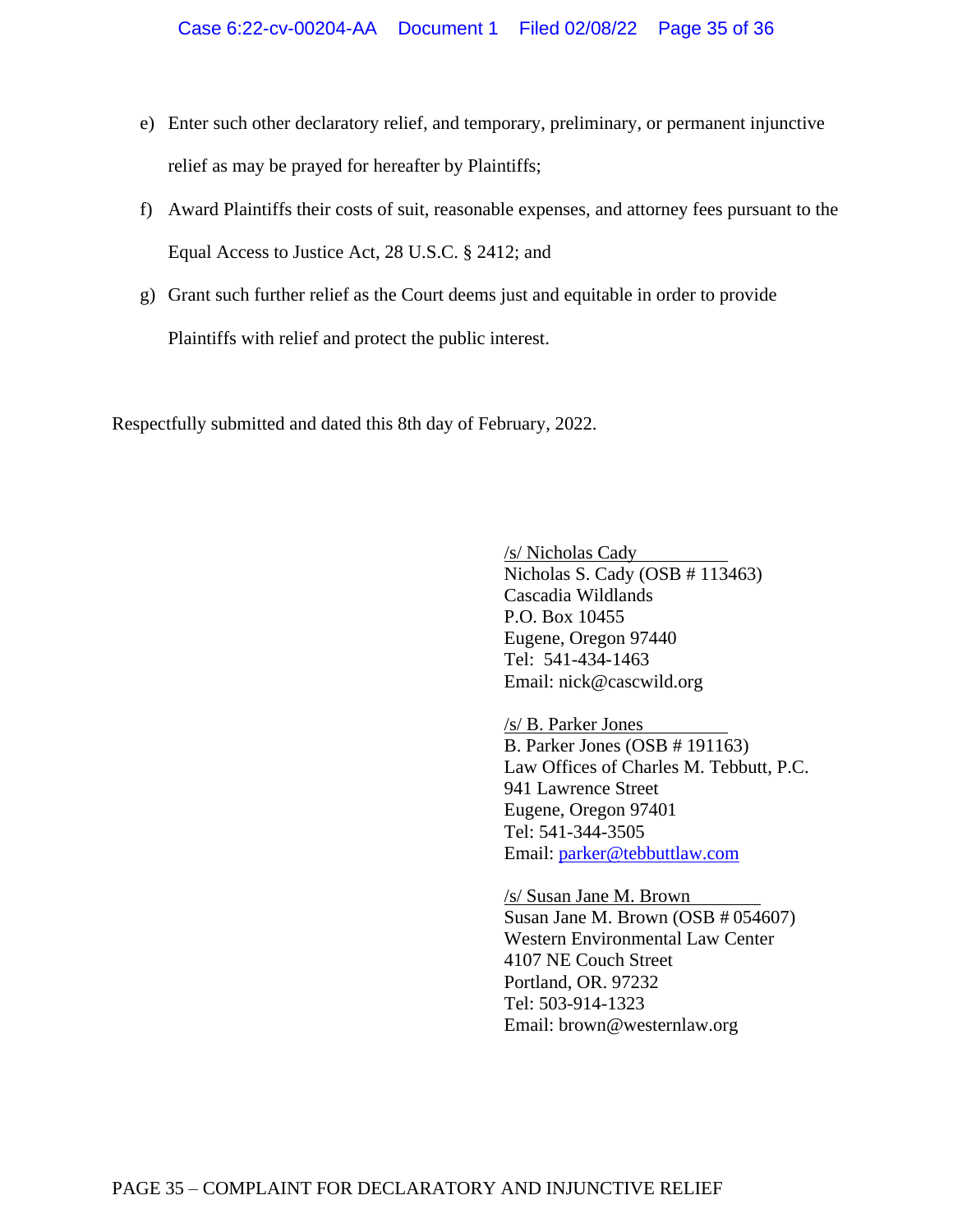- e) Enter such other declaratory relief, and temporary, preliminary, or permanent injunctive relief as may be prayed for hereafter by Plaintiffs;
- f) Award Plaintiffs their costs of suit, reasonable expenses, and attorney fees pursuant to the Equal Access to Justice Act, 28 U.S.C. § 2412; and
- g) Grant such further relief as the Court deems just and equitable in order to provide Plaintiffs with relief and protect the public interest.

Respectfully submitted and dated this 8th day of February, 2022.

/s/ Nicholas Cady Nicholas S. Cady (OSB # 113463) Cascadia Wildlands P.O. Box 10455 Eugene, Oregon 97440 Tel: 541-434-1463 Email: [nick@cascwild.org](mailto:dkruse@cldc.org)

/s/ B. Parker Jones B. Parker Jones (OSB # 191163) Law Offices of Charles M. Tebbutt, P.C. 941 Lawrence Street Eugene, Oregon 97401 Tel: 541-344-3505 Email: [parker@tebbuttlaw.com](mailto:parker@tebbuttlaw.com)

/s/ Susan Jane M. Brown . Susan Jane M. Brown (OSB # 054607) Western Environmental Law Center 4107 NE Couch Street Portland, OR. 97232 Tel: 503-914-1323 Email: brown@westernlaw.org